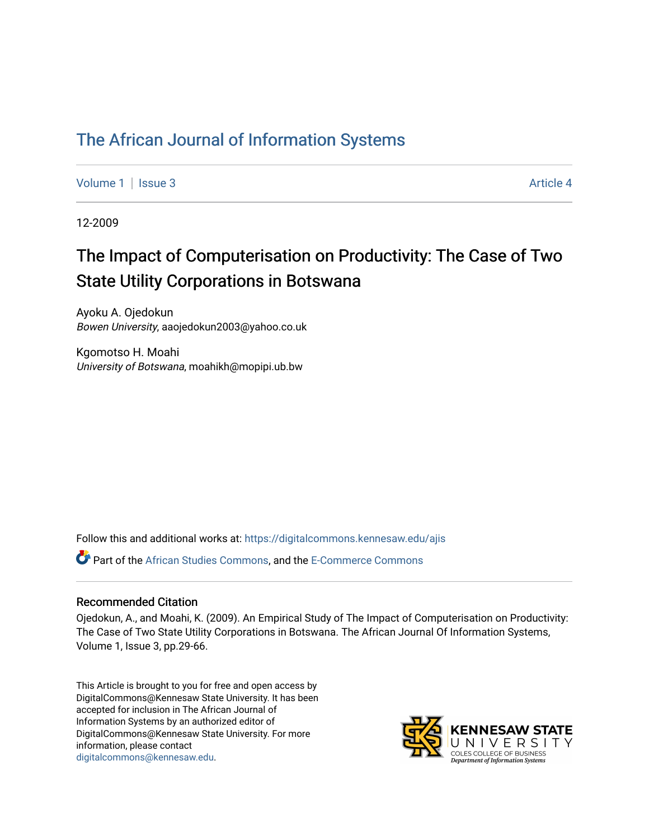# [The African Journal of Information Systems](https://digitalcommons.kennesaw.edu/ajis)

[Volume 1](https://digitalcommons.kennesaw.edu/ajis/vol1) | [Issue 3](https://digitalcommons.kennesaw.edu/ajis/vol1/iss3) Article 4

12-2009

# The Impact of Computerisation on Productivity: The Case of Two State Utility Corporations in Botswana

Ayoku A. Ojedokun Bowen University, aaojedokun2003@yahoo.co.uk

Kgomotso H. Moahi University of Botswana, moahikh@mopipi.ub.bw

Follow this and additional works at: [https://digitalcommons.kennesaw.edu/ajis](https://digitalcommons.kennesaw.edu/ajis?utm_source=digitalcommons.kennesaw.edu%2Fajis%2Fvol1%2Fiss3%2F4&utm_medium=PDF&utm_campaign=PDFCoverPages) 

Part of the [African Studies Commons,](http://network.bepress.com/hgg/discipline/1043?utm_source=digitalcommons.kennesaw.edu%2Fajis%2Fvol1%2Fiss3%2F4&utm_medium=PDF&utm_campaign=PDFCoverPages) and the [E-Commerce Commons](http://network.bepress.com/hgg/discipline/624?utm_source=digitalcommons.kennesaw.edu%2Fajis%2Fvol1%2Fiss3%2F4&utm_medium=PDF&utm_campaign=PDFCoverPages)

#### Recommended Citation

Ojedokun, A., and Moahi, K. (2009). An Empirical Study of The Impact of Computerisation on Productivity: The Case of Two State Utility Corporations in Botswana. The African Journal Of Information Systems, Volume 1, Issue 3, pp.29-66.

This Article is brought to you for free and open access by DigitalCommons@Kennesaw State University. It has been accepted for inclusion in The African Journal of Information Systems by an authorized editor of DigitalCommons@Kennesaw State University. For more information, please contact [digitalcommons@kennesaw.edu.](mailto:digitalcommons@kennesaw.edu)

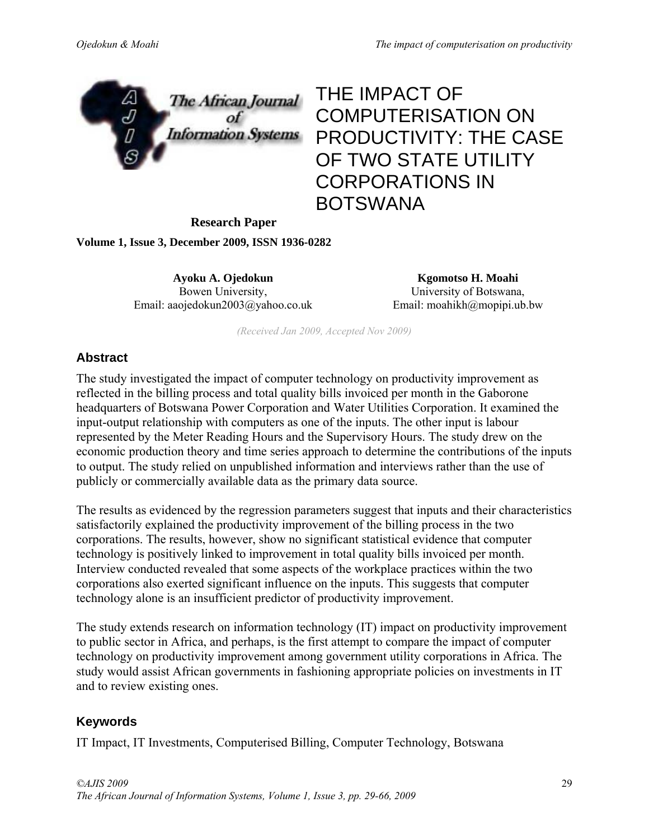

# THE IMPACT OF COMPUTERISATION ON PRODUCTIVITY: THE CASE OF TWO STATE UTILITY CORPORATIONS IN BOTSWANA

**Research Paper** 

**Volume 1, Issue 3, December 2009, ISSN 1936-0282** 

**Ayoku A. Ojedokun** Bowen University, Email: aaojedokun2003@yahoo.co.uk

**Kgomotso H. Moahi**  University of Botswana, Email: moahikh@mopipi.ub.bw

*(Received Jan 2009, Accepted Nov 2009)* 

#### **Abstract**

The study investigated the impact of computer technology on productivity improvement as reflected in the billing process and total quality bills invoiced per month in the Gaborone headquarters of Botswana Power Corporation and Water Utilities Corporation. It examined the input-output relationship with computers as one of the inputs. The other input is labour represented by the Meter Reading Hours and the Supervisory Hours. The study drew on the economic production theory and time series approach to determine the contributions of the inputs to output. The study relied on unpublished information and interviews rather than the use of publicly or commercially available data as the primary data source.

The results as evidenced by the regression parameters suggest that inputs and their characteristics satisfactorily explained the productivity improvement of the billing process in the two corporations. The results, however, show no significant statistical evidence that computer technology is positively linked to improvement in total quality bills invoiced per month. Interview conducted revealed that some aspects of the workplace practices within the two corporations also exerted significant influence on the inputs. This suggests that computer technology alone is an insufficient predictor of productivity improvement.

The study extends research on information technology (IT) impact on productivity improvement to public sector in Africa, and perhaps, is the first attempt to compare the impact of computer technology on productivity improvement among government utility corporations in Africa. The study would assist African governments in fashioning appropriate policies on investments in IT and to review existing ones.

### **Keywords**

IT Impact, IT Investments, Computerised Billing, Computer Technology, Botswana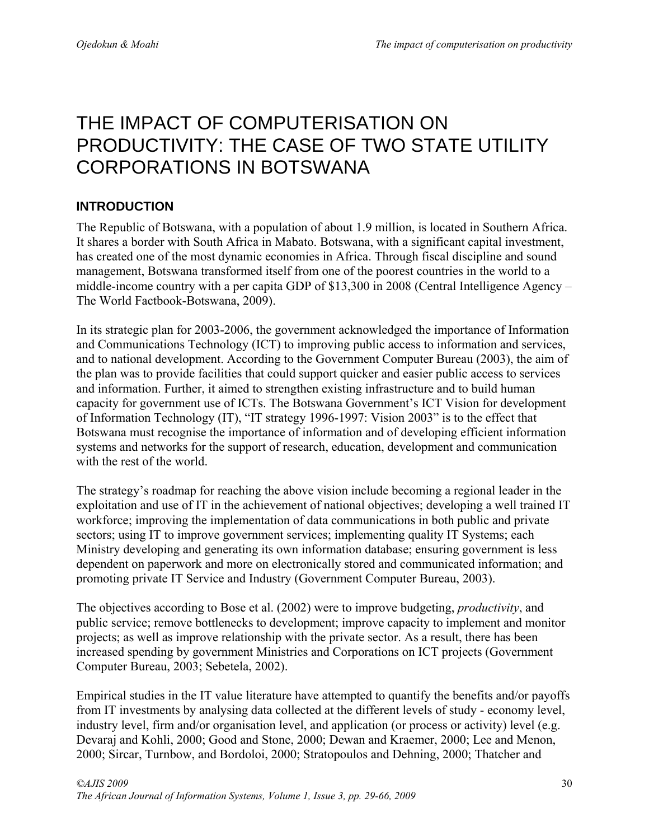# THE IMPACT OF COMPUTERISATION ON PRODUCTIVITY: THE CASE OF TWO STATE UTILITY CORPORATIONS IN BOTSWANA

# **INTRODUCTION**

The Republic of Botswana, with a population of about 1.9 million, is located in Southern Africa. It shares a border with South Africa in Mabato. Botswana, with a significant capital investment, has created one of the most dynamic economies in Africa. Through fiscal discipline and sound management, Botswana transformed itself from one of the poorest countries in the world to a middle-income country with a per capita GDP of \$13,300 in 2008 (Central Intelligence Agency – The World Factbook-Botswana, 2009).

In its strategic plan for 2003-2006, the government acknowledged the importance of Information and Communications Technology (ICT) to improving public access to information and services, and to national development. According to the Government Computer Bureau (2003), the aim of the plan was to provide facilities that could support quicker and easier public access to services and information. Further, it aimed to strengthen existing infrastructure and to build human capacity for government use of ICTs. The Botswana Government's ICT Vision for development of Information Technology (IT), "IT strategy 1996-1997: Vision 2003" is to the effect that Botswana must recognise the importance of information and of developing efficient information systems and networks for the support of research, education, development and communication with the rest of the world.

The strategy's roadmap for reaching the above vision include becoming a regional leader in the exploitation and use of IT in the achievement of national objectives; developing a well trained IT workforce; improving the implementation of data communications in both public and private sectors; using IT to improve government services; implementing quality IT Systems; each Ministry developing and generating its own information database; ensuring government is less dependent on paperwork and more on electronically stored and communicated information; and promoting private IT Service and Industry (Government Computer Bureau, 2003).

The objectives according to Bose et al. (2002) were to improve budgeting, *productivity*, and public service; remove bottlenecks to development; improve capacity to implement and monitor projects; as well as improve relationship with the private sector. As a result, there has been increased spending by government Ministries and Corporations on ICT projects (Government Computer Bureau, 2003; Sebetela, 2002).

Empirical studies in the IT value literature have attempted to quantify the benefits and/or payoffs from IT investments by analysing data collected at the different levels of study - economy level, industry level, firm and/or organisation level, and application (or process or activity) level (e.g. Devaraj and Kohli, 2000; Good and Stone, 2000; Dewan and Kraemer, 2000; Lee and Menon, 2000; Sircar, Turnbow, and Bordoloi, 2000; Stratopoulos and Dehning, 2000; Thatcher and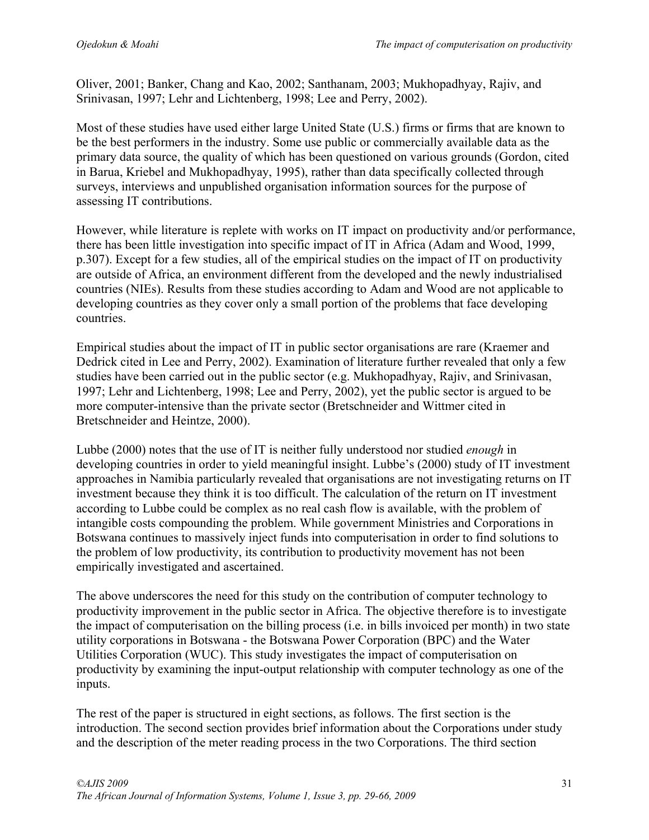Oliver, 2001; Banker, Chang and Kao, 2002; Santhanam, 2003; Mukhopadhyay, Rajiv, and Srinivasan, 1997; Lehr and Lichtenberg, 1998; Lee and Perry, 2002).

Most of these studies have used either large United State (U.S.) firms or firms that are known to be the best performers in the industry. Some use public or commercially available data as the primary data source, the quality of which has been questioned on various grounds (Gordon, cited in Barua, Kriebel and Mukhopadhyay, 1995), rather than data specifically collected through surveys, interviews and unpublished organisation information sources for the purpose of assessing IT contributions.

However, while literature is replete with works on IT impact on productivity and/or performance, there has been little investigation into specific impact of IT in Africa (Adam and Wood, 1999, p.307). Except for a few studies, all of the empirical studies on the impact of IT on productivity are outside of Africa, an environment different from the developed and the newly industrialised countries (NIEs). Results from these studies according to Adam and Wood are not applicable to developing countries as they cover only a small portion of the problems that face developing countries.

Empirical studies about the impact of IT in public sector organisations are rare (Kraemer and Dedrick cited in Lee and Perry, 2002). Examination of literature further revealed that only a few studies have been carried out in the public sector (e.g. Mukhopadhyay, Rajiv, and Srinivasan, 1997; Lehr and Lichtenberg, 1998; Lee and Perry, 2002), yet the public sector is argued to be more computer-intensive than the private sector (Bretschneider and Wittmer cited in Bretschneider and Heintze, 2000).

Lubbe (2000) notes that the use of IT is neither fully understood nor studied *enough* in developing countries in order to yield meaningful insight. Lubbe's (2000) study of IT investment approaches in Namibia particularly revealed that organisations are not investigating returns on IT investment because they think it is too difficult. The calculation of the return on IT investment according to Lubbe could be complex as no real cash flow is available, with the problem of intangible costs compounding the problem. While government Ministries and Corporations in Botswana continues to massively inject funds into computerisation in order to find solutions to the problem of low productivity, its contribution to productivity movement has not been empirically investigated and ascertained.

The above underscores the need for this study on the contribution of computer technology to productivity improvement in the public sector in Africa. The objective therefore is to investigate the impact of computerisation on the billing process (i.e. in bills invoiced per month) in two state utility corporations in Botswana - the Botswana Power Corporation (BPC) and the Water Utilities Corporation (WUC). This study investigates the impact of computerisation on productivity by examining the input-output relationship with computer technology as one of the inputs.

The rest of the paper is structured in eight sections, as follows. The first section is the introduction. The second section provides brief information about the Corporations under study and the description of the meter reading process in the two Corporations. The third section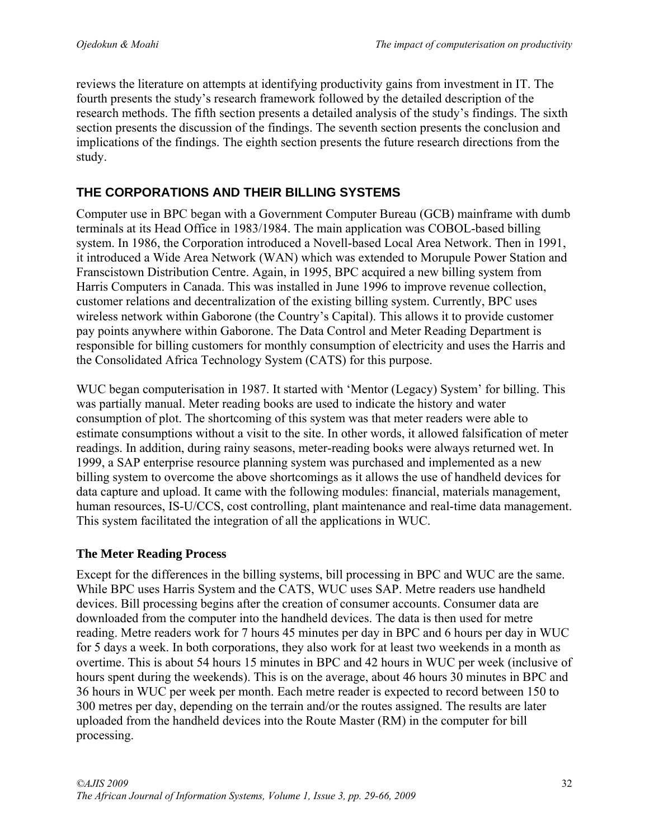reviews the literature on attempts at identifying productivity gains from investment in IT. The fourth presents the study's research framework followed by the detailed description of the research methods. The fifth section presents a detailed analysis of the study's findings. The sixth section presents the discussion of the findings. The seventh section presents the conclusion and implications of the findings. The eighth section presents the future research directions from the study.

# **THE CORPORATIONS AND THEIR BILLING SYSTEMS**

Computer use in BPC began with a Government Computer Bureau (GCB) mainframe with dumb terminals at its Head Office in 1983/1984. The main application was COBOL-based billing system. In 1986, the Corporation introduced a Novell-based Local Area Network. Then in 1991, it introduced a Wide Area Network (WAN) which was extended to Morupule Power Station and Franscistown Distribution Centre. Again, in 1995, BPC acquired a new billing system from Harris Computers in Canada. This was installed in June 1996 to improve revenue collection, customer relations and decentralization of the existing billing system. Currently, BPC uses wireless network within Gaborone (the Country's Capital). This allows it to provide customer pay points anywhere within Gaborone. The Data Control and Meter Reading Department is responsible for billing customers for monthly consumption of electricity and uses the Harris and the Consolidated Africa Technology System (CATS) for this purpose.

WUC began computerisation in 1987. It started with 'Mentor (Legacy) System' for billing. This was partially manual. Meter reading books are used to indicate the history and water consumption of plot. The shortcoming of this system was that meter readers were able to estimate consumptions without a visit to the site. In other words, it allowed falsification of meter readings. In addition, during rainy seasons, meter-reading books were always returned wet. In 1999, a SAP enterprise resource planning system was purchased and implemented as a new billing system to overcome the above shortcomings as it allows the use of handheld devices for data capture and upload. It came with the following modules: financial, materials management, human resources, IS-U/CCS, cost controlling, plant maintenance and real-time data management. This system facilitated the integration of all the applications in WUC.

# **The Meter Reading Process**

Except for the differences in the billing systems, bill processing in BPC and WUC are the same. While BPC uses Harris System and the CATS, WUC uses SAP. Metre readers use handheld devices. Bill processing begins after the creation of consumer accounts. Consumer data are downloaded from the computer into the handheld devices. The data is then used for metre reading. Metre readers work for 7 hours 45 minutes per day in BPC and 6 hours per day in WUC for 5 days a week. In both corporations, they also work for at least two weekends in a month as overtime. This is about 54 hours 15 minutes in BPC and 42 hours in WUC per week (inclusive of hours spent during the weekends). This is on the average, about 46 hours 30 minutes in BPC and 36 hours in WUC per week per month. Each metre reader is expected to record between 150 to 300 metres per day, depending on the terrain and/or the routes assigned. The results are later uploaded from the handheld devices into the Route Master (RM) in the computer for bill processing.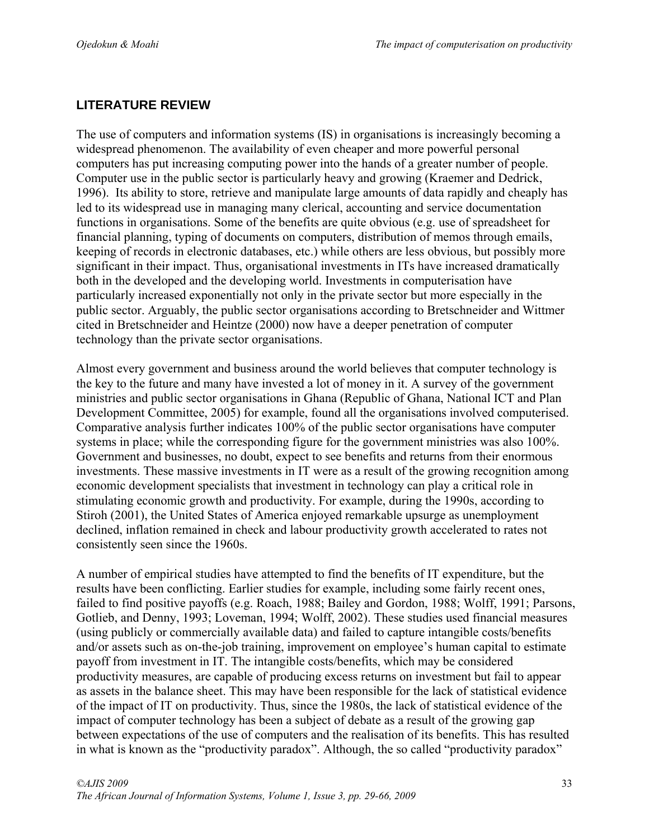# **LITERATURE REVIEW**

The use of computers and information systems (IS) in organisations is increasingly becoming a widespread phenomenon. The availability of even cheaper and more powerful personal computers has put increasing computing power into the hands of a greater number of people. Computer use in the public sector is particularly heavy and growing (Kraemer and Dedrick, 1996). Its ability to store, retrieve and manipulate large amounts of data rapidly and cheaply has led to its widespread use in managing many clerical, accounting and service documentation functions in organisations. Some of the benefits are quite obvious (e.g. use of spreadsheet for financial planning, typing of documents on computers, distribution of memos through emails, keeping of records in electronic databases, etc.) while others are less obvious, but possibly more significant in their impact. Thus, organisational investments in ITs have increased dramatically both in the developed and the developing world. Investments in computerisation have particularly increased exponentially not only in the private sector but more especially in the public sector. Arguably, the public sector organisations according to Bretschneider and Wittmer cited in Bretschneider and Heintze (2000) now have a deeper penetration of computer technology than the private sector organisations.

Almost every government and business around the world believes that computer technology is the key to the future and many have invested a lot of money in it. A survey of the government ministries and public sector organisations in Ghana (Republic of Ghana, National ICT and Plan Development Committee, 2005) for example, found all the organisations involved computerised. Comparative analysis further indicates 100% of the public sector organisations have computer systems in place; while the corresponding figure for the government ministries was also 100%. Government and businesses, no doubt, expect to see benefits and returns from their enormous investments. These massive investments in IT were as a result of the growing recognition among economic development specialists that investment in technology can play a critical role in stimulating economic growth and productivity. For example, during the 1990s, according to Stiroh (2001), the United States of America enjoyed remarkable upsurge as unemployment declined, inflation remained in check and labour productivity growth accelerated to rates not consistently seen since the 1960s.

A number of empirical studies have attempted to find the benefits of IT expenditure, but the results have been conflicting. Earlier studies for example, including some fairly recent ones, failed to find positive payoffs (e.g. Roach, 1988; Bailey and Gordon, 1988; Wolff, 1991; Parsons, Gotlieb, and Denny, 1993; Loveman, 1994; Wolff, 2002). These studies used financial measures (using publicly or commercially available data) and failed to capture intangible costs/benefits and/or assets such as on-the-job training, improvement on employee's human capital to estimate payoff from investment in IT. The intangible costs/benefits, which may be considered productivity measures, are capable of producing excess returns on investment but fail to appear as assets in the balance sheet. This may have been responsible for the lack of statistical evidence of the impact of IT on productivity. Thus, since the 1980s, the lack of statistical evidence of the impact of computer technology has been a subject of debate as a result of the growing gap between expectations of the use of computers and the realisation of its benefits. This has resulted in what is known as the "productivity paradox". Although, the so called "productivity paradox"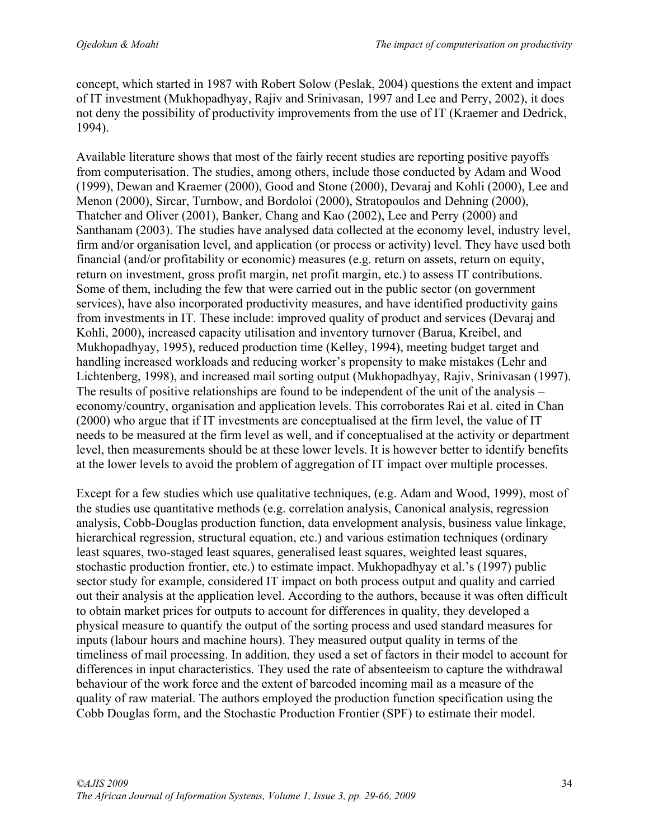concept, which started in 1987 with Robert Solow (Peslak, 2004) questions the extent and impact of IT investment (Mukhopadhyay, Rajiv and Srinivasan, 1997 and Lee and Perry, 2002), it does not deny the possibility of productivity improvements from the use of IT (Kraemer and Dedrick, 1994).

Available literature shows that most of the fairly recent studies are reporting positive payoffs from computerisation. The studies, among others, include those conducted by Adam and Wood (1999), Dewan and Kraemer (2000), Good and Stone (2000), Devaraj and Kohli (2000), Lee and Menon (2000), Sircar, Turnbow, and Bordoloi (2000), Stratopoulos and Dehning (2000), Thatcher and Oliver (2001), Banker, Chang and Kao (2002), Lee and Perry (2000) and Santhanam (2003). The studies have analysed data collected at the economy level, industry level, firm and/or organisation level, and application (or process or activity) level. They have used both financial (and/or profitability or economic) measures (e.g. return on assets, return on equity, return on investment, gross profit margin, net profit margin, etc.) to assess IT contributions. Some of them, including the few that were carried out in the public sector (on government services), have also incorporated productivity measures, and have identified productivity gains from investments in IT. These include: improved quality of product and services (Devaraj and Kohli, 2000), increased capacity utilisation and inventory turnover (Barua, Kreibel, and Mukhopadhyay, 1995), reduced production time (Kelley, 1994), meeting budget target and handling increased workloads and reducing worker's propensity to make mistakes (Lehr and Lichtenberg, 1998), and increased mail sorting output (Mukhopadhyay, Rajiv, Srinivasan (1997). The results of positive relationships are found to be independent of the unit of the analysis – economy/country, organisation and application levels. This corroborates Rai et al. cited in Chan (2000) who argue that if IT investments are conceptualised at the firm level, the value of IT needs to be measured at the firm level as well, and if conceptualised at the activity or department level, then measurements should be at these lower levels. It is however better to identify benefits at the lower levels to avoid the problem of aggregation of IT impact over multiple processes.

Except for a few studies which use qualitative techniques, (e.g. Adam and Wood, 1999), most of the studies use quantitative methods (e.g. correlation analysis, Canonical analysis, regression analysis, Cobb-Douglas production function, data envelopment analysis, business value linkage, hierarchical regression, structural equation, etc.) and various estimation techniques (ordinary least squares, two-staged least squares, generalised least squares, weighted least squares, stochastic production frontier, etc.) to estimate impact. Mukhopadhyay et al.'s (1997) public sector study for example, considered IT impact on both process output and quality and carried out their analysis at the application level. According to the authors, because it was often difficult to obtain market prices for outputs to account for differences in quality, they developed a physical measure to quantify the output of the sorting process and used standard measures for inputs (labour hours and machine hours). They measured output quality in terms of the timeliness of mail processing. In addition, they used a set of factors in their model to account for differences in input characteristics. They used the rate of absenteeism to capture the withdrawal behaviour of the work force and the extent of barcoded incoming mail as a measure of the quality of raw material. The authors employed the production function specification using the Cobb Douglas form, and the Stochastic Production Frontier (SPF) to estimate their model.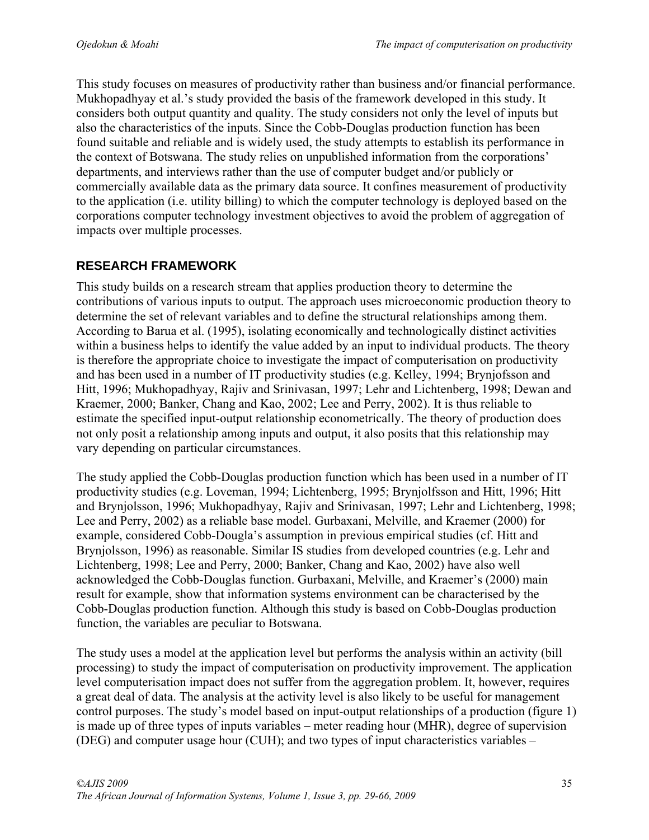This study focuses on measures of productivity rather than business and/or financial performance. Mukhopadhyay et al.'s study provided the basis of the framework developed in this study. It considers both output quantity and quality. The study considers not only the level of inputs but also the characteristics of the inputs. Since the Cobb-Douglas production function has been found suitable and reliable and is widely used, the study attempts to establish its performance in the context of Botswana. The study relies on unpublished information from the corporations' departments, and interviews rather than the use of computer budget and/or publicly or commercially available data as the primary data source. It confines measurement of productivity to the application (i.e. utility billing) to which the computer technology is deployed based on the corporations computer technology investment objectives to avoid the problem of aggregation of impacts over multiple processes.

### **RESEARCH FRAMEWORK**

This study builds on a research stream that applies production theory to determine the contributions of various inputs to output. The approach uses microeconomic production theory to determine the set of relevant variables and to define the structural relationships among them. According to Barua et al. (1995), isolating economically and technologically distinct activities within a business helps to identify the value added by an input to individual products. The theory is therefore the appropriate choice to investigate the impact of computerisation on productivity and has been used in a number of IT productivity studies (e.g. Kelley, 1994; Brynjofsson and Hitt, 1996; Mukhopadhyay, Rajiv and Srinivasan, 1997; Lehr and Lichtenberg, 1998; Dewan and Kraemer, 2000; Banker, Chang and Kao, 2002; Lee and Perry, 2002). It is thus reliable to estimate the specified input-output relationship econometrically. The theory of production does not only posit a relationship among inputs and output, it also posits that this relationship may vary depending on particular circumstances.

The study applied the Cobb-Douglas production function which has been used in a number of IT productivity studies (e.g. Loveman, 1994; Lichtenberg, 1995; Brynjolfsson and Hitt, 1996; Hitt and Brynjolsson, 1996; Mukhopadhyay, Rajiv and Srinivasan, 1997; Lehr and Lichtenberg, 1998; Lee and Perry, 2002) as a reliable base model. Gurbaxani, Melville, and Kraemer (2000) for example, considered Cobb-Dougla's assumption in previous empirical studies (cf. Hitt and Brynjolsson, 1996) as reasonable. Similar IS studies from developed countries (e.g. Lehr and Lichtenberg, 1998; Lee and Perry, 2000; Banker, Chang and Kao, 2002) have also well acknowledged the Cobb-Douglas function. Gurbaxani, Melville, and Kraemer's (2000) main result for example, show that information systems environment can be characterised by the Cobb-Douglas production function. Although this study is based on Cobb-Douglas production function, the variables are peculiar to Botswana.

The study uses a model at the application level but performs the analysis within an activity (bill processing) to study the impact of computerisation on productivity improvement. The application level computerisation impact does not suffer from the aggregation problem. It, however, requires a great deal of data. The analysis at the activity level is also likely to be useful for management control purposes. The study's model based on input-output relationships of a production (figure 1) is made up of three types of inputs variables – meter reading hour (MHR), degree of supervision (DEG) and computer usage hour (CUH); and two types of input characteristics variables –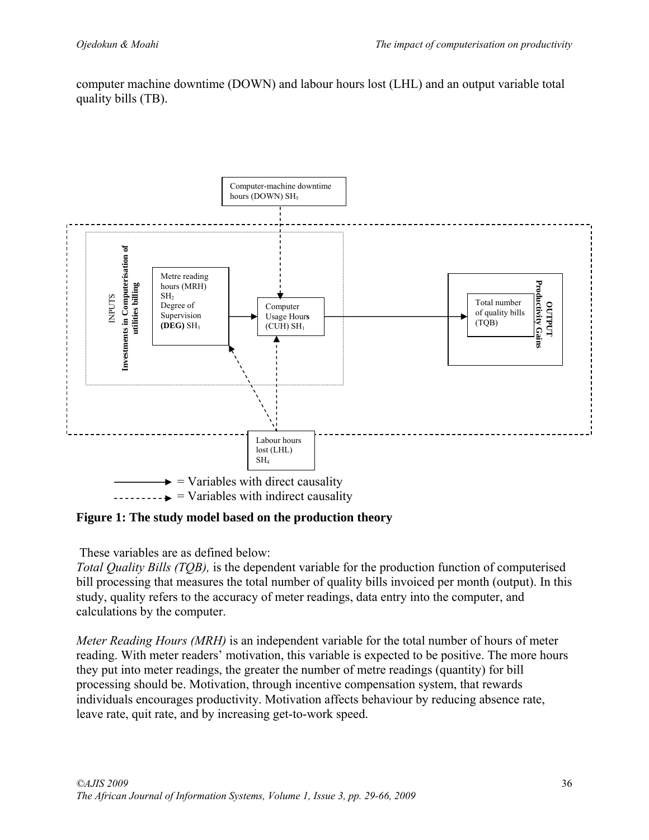computer machine downtime (DOWN) and labour hours lost (LHL) and an output variable total quality bills (TB).



**Figure 1: The study model based on the production theory** 

These variables are as defined below:

*Total Quality Bills (TQB),* is the dependent variable for the production function of computerised bill processing that measures the total number of quality bills invoiced per month (output). In this study, quality refers to the accuracy of meter readings, data entry into the computer, and calculations by the computer.

*Meter Reading Hours (MRH)* is an independent variable for the total number of hours of meter reading. With meter readers' motivation, this variable is expected to be positive. The more hours they put into meter readings, the greater the number of metre readings (quantity) for bill processing should be. Motivation, through incentive compensation system, that rewards individuals encourages productivity. Motivation affects behaviour by reducing absence rate, leave rate, quit rate, and by increasing get-to-work speed.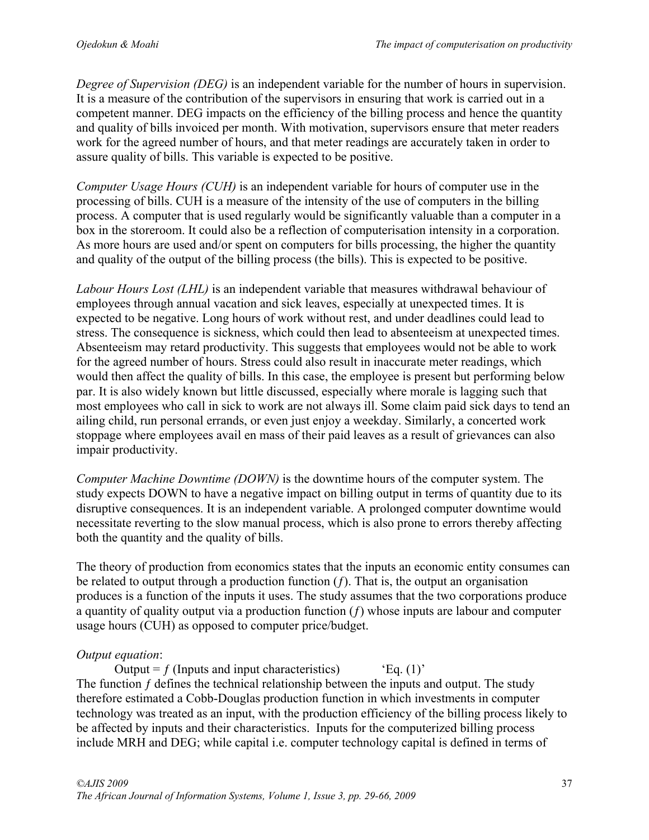*Degree of Supervision (DEG)* is an independent variable for the number of hours in supervision. It is a measure of the contribution of the supervisors in ensuring that work is carried out in a competent manner. DEG impacts on the efficiency of the billing process and hence the quantity and quality of bills invoiced per month. With motivation, supervisors ensure that meter readers work for the agreed number of hours, and that meter readings are accurately taken in order to assure quality of bills. This variable is expected to be positive.

*Computer Usage Hours (CUH)* is an independent variable for hours of computer use in the processing of bills. CUH is a measure of the intensity of the use of computers in the billing process. A computer that is used regularly would be significantly valuable than a computer in a box in the storeroom. It could also be a reflection of computerisation intensity in a corporation. As more hours are used and/or spent on computers for bills processing, the higher the quantity and quality of the output of the billing process (the bills). This is expected to be positive.

*Labour Hours Lost (LHL)* is an independent variable that measures withdrawal behaviour of employees through annual vacation and sick leaves, especially at unexpected times. It is expected to be negative. Long hours of work without rest, and under deadlines could lead to stress. The consequence is sickness, which could then lead to absenteeism at unexpected times. Absenteeism may retard productivity. This suggests that employees would not be able to work for the agreed number of hours. Stress could also result in inaccurate meter readings, which would then affect the quality of bills. In this case, the employee is present but performing below par. It is also widely known but little discussed, especially where morale is lagging such that most employees who call in sick to work are not always ill. Some claim paid sick days to tend an ailing child, run personal errands, or even just enjoy a weekday. Similarly, a concerted work stoppage where employees avail en mass of their paid leaves as a result of grievances can also impair productivity.

*Computer Machine Downtime (DOWN)* is the downtime hours of the computer system. The study expects DOWN to have a negative impact on billing output in terms of quantity due to its disruptive consequences. It is an independent variable. A prolonged computer downtime would necessitate reverting to the slow manual process, which is also prone to errors thereby affecting both the quantity and the quality of bills.

The theory of production from economics states that the inputs an economic entity consumes can be related to output through a production function  $(f)$ . That is, the output an organisation produces is a function of the inputs it uses. The study assumes that the two corporations produce a quantity of quality output via a production function  $(f)$  whose inputs are labour and computer usage hours (CUH) as opposed to computer price/budget.

### *Output equation*:

Output =  $f$  (Inputs and input characteristics) 'Eq. (1)' The function *f* defines the technical relationship between the inputs and output. The study therefore estimated a Cobb-Douglas production function in which investments in computer technology was treated as an input, with the production efficiency of the billing process likely to be affected by inputs and their characteristics. Inputs for the computerized billing process include MRH and DEG; while capital i.e. computer technology capital is defined in terms of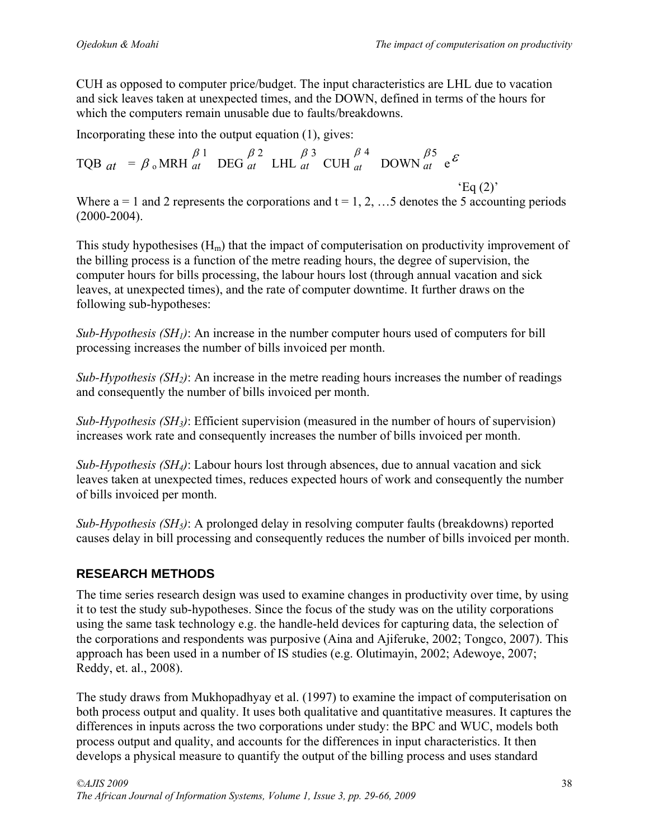CUH as opposed to computer price/budget. The input characteristics are LHL due to vacation and sick leaves taken at unexpected times, and the DOWN, defined in terms of the hours for which the computers remain unusable due to faults/breakdowns.

Incorporating these into the output equation (1), gives:

TQB  $_{at}$  =  $\beta$  <sub>o</sub>MRH  $\beta$  1 *at* DEG  $\beta$  2 *at* LHL  $\beta$  3 *at* CUH  $\beta$  4 *at* DOWN  $\beta$ 5  $\begin{bmatrix} P^3 & e^{\mathcal{E}} \ a & \end{bmatrix}$  $Eq(2)$ 

Where  $a = 1$  and 2 represents the corporations and  $t = 1, 2, \ldots$  5 denotes the 5 accounting periods (2000-2004).

This study hypothesises  $(H_m)$  that the impact of computerisation on productivity improvement of the billing process is a function of the metre reading hours, the degree of supervision, the computer hours for bills processing, the labour hours lost (through annual vacation and sick leaves, at unexpected times), and the rate of computer downtime. It further draws on the following sub-hypotheses:

*Sub-Hypothesis (SH1)*: An increase in the number computer hours used of computers for bill processing increases the number of bills invoiced per month.

*Sub-Hypothesis (SH2)*: An increase in the metre reading hours increases the number of readings and consequently the number of bills invoiced per month.

*Sub-Hypothesis (SH3)*: Efficient supervision (measured in the number of hours of supervision) increases work rate and consequently increases the number of bills invoiced per month.

*Sub-Hypothesis (SH4)*: Labour hours lost through absences, due to annual vacation and sick leaves taken at unexpected times, reduces expected hours of work and consequently the number of bills invoiced per month.

*Sub-Hypothesis (SH5)*: A prolonged delay in resolving computer faults (breakdowns) reported causes delay in bill processing and consequently reduces the number of bills invoiced per month.

# **RESEARCH METHODS**

The time series research design was used to examine changes in productivity over time, by using it to test the study sub-hypotheses. Since the focus of the study was on the utility corporations using the same task technology e.g. the handle-held devices for capturing data, the selection of the corporations and respondents was purposive (Aina and Ajiferuke, 2002; Tongco, 2007). This approach has been used in a number of IS studies (e.g. Olutimayin, 2002; Adewoye, 2007; Reddy, et. al., 2008).

The study draws from Mukhopadhyay et al. (1997) to examine the impact of computerisation on both process output and quality. It uses both qualitative and quantitative measures. It captures the differences in inputs across the two corporations under study: the BPC and WUC, models both process output and quality, and accounts for the differences in input characteristics. It then develops a physical measure to quantify the output of the billing process and uses standard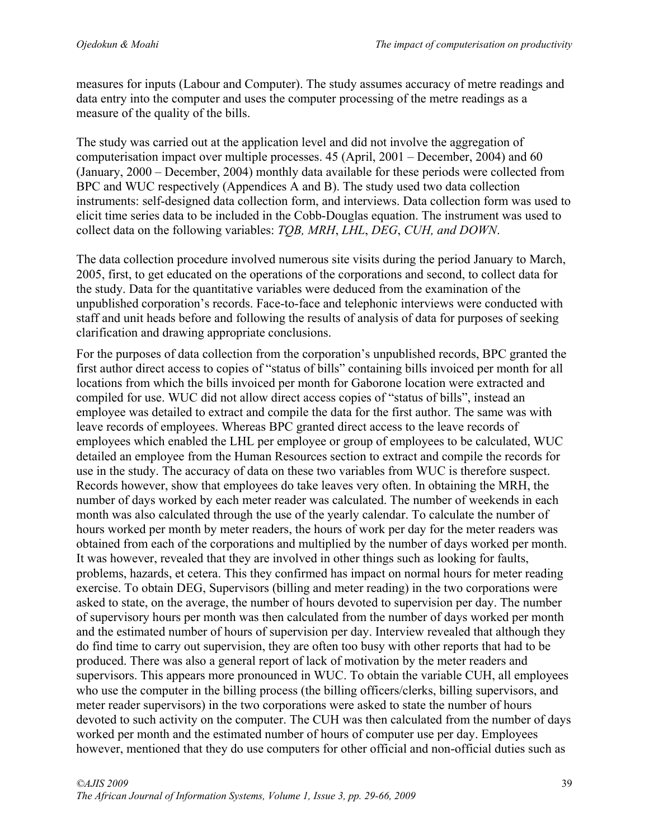measures for inputs (Labour and Computer). The study assumes accuracy of metre readings and data entry into the computer and uses the computer processing of the metre readings as a measure of the quality of the bills.

The study was carried out at the application level and did not involve the aggregation of computerisation impact over multiple processes. 45 (April, 2001 – December, 2004) and 60 (January, 2000 – December, 2004) monthly data available for these periods were collected from BPC and WUC respectively (Appendices A and B). The study used two data collection instruments: self-designed data collection form, and interviews. Data collection form was used to elicit time series data to be included in the Cobb-Douglas equation. The instrument was used to collect data on the following variables: *TQB, MRH*, *LHL*, *DEG*, *CUH, and DOWN*.

The data collection procedure involved numerous site visits during the period January to March, 2005, first, to get educated on the operations of the corporations and second, to collect data for the study. Data for the quantitative variables were deduced from the examination of the unpublished corporation's records. Face-to-face and telephonic interviews were conducted with staff and unit heads before and following the results of analysis of data for purposes of seeking clarification and drawing appropriate conclusions.

For the purposes of data collection from the corporation's unpublished records, BPC granted the first author direct access to copies of "status of bills" containing bills invoiced per month for all locations from which the bills invoiced per month for Gaborone location were extracted and compiled for use. WUC did not allow direct access copies of "status of bills", instead an employee was detailed to extract and compile the data for the first author. The same was with leave records of employees. Whereas BPC granted direct access to the leave records of employees which enabled the LHL per employee or group of employees to be calculated, WUC detailed an employee from the Human Resources section to extract and compile the records for use in the study. The accuracy of data on these two variables from WUC is therefore suspect. Records however, show that employees do take leaves very often. In obtaining the MRH, the number of days worked by each meter reader was calculated. The number of weekends in each month was also calculated through the use of the yearly calendar. To calculate the number of hours worked per month by meter readers, the hours of work per day for the meter readers was obtained from each of the corporations and multiplied by the number of days worked per month. It was however, revealed that they are involved in other things such as looking for faults, problems, hazards, et cetera. This they confirmed has impact on normal hours for meter reading exercise. To obtain DEG, Supervisors (billing and meter reading) in the two corporations were asked to state, on the average, the number of hours devoted to supervision per day. The number of supervisory hours per month was then calculated from the number of days worked per month and the estimated number of hours of supervision per day. Interview revealed that although they do find time to carry out supervision, they are often too busy with other reports that had to be produced. There was also a general report of lack of motivation by the meter readers and supervisors. This appears more pronounced in WUC. To obtain the variable CUH, all employees who use the computer in the billing process (the billing officers/clerks, billing supervisors, and meter reader supervisors) in the two corporations were asked to state the number of hours devoted to such activity on the computer. The CUH was then calculated from the number of days worked per month and the estimated number of hours of computer use per day. Employees however, mentioned that they do use computers for other official and non-official duties such as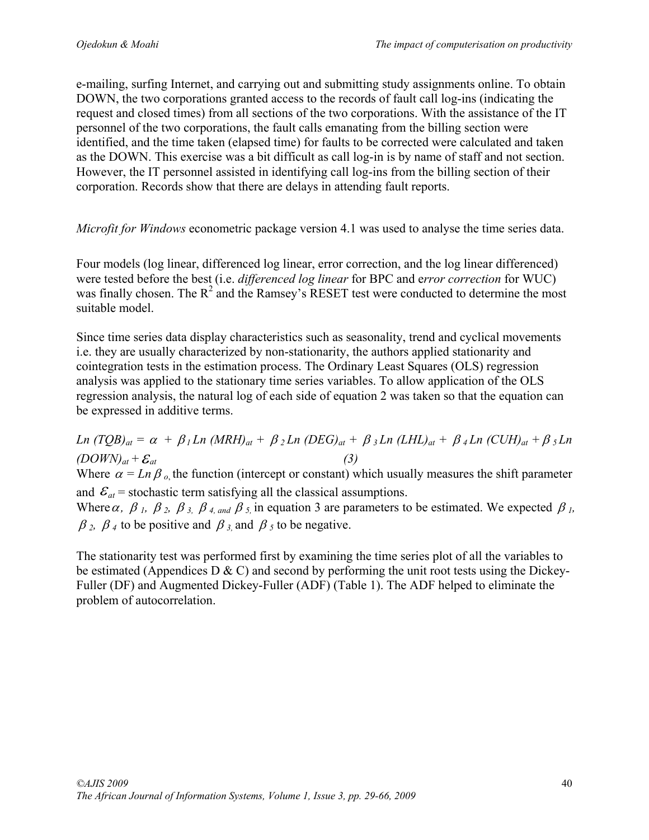e-mailing, surfing Internet, and carrying out and submitting study assignments online. To obtain DOWN, the two corporations granted access to the records of fault call log-ins (indicating the request and closed times) from all sections of the two corporations. With the assistance of the IT personnel of the two corporations, the fault calls emanating from the billing section were identified, and the time taken (elapsed time) for faults to be corrected were calculated and taken as the DOWN. This exercise was a bit difficult as call log-in is by name of staff and not section. However, the IT personnel assisted in identifying call log-ins from the billing section of their corporation. Records show that there are delays in attending fault reports.

*Microfit for Windows* econometric package version 4.1 was used to analyse the time series data.

Four models (log linear, differenced log linear, error correction, and the log linear differenced) were tested before the best (i.e. *differenced log linear* for BPC and e*rror correction* for WUC) was finally chosen. The  $R^2$  and the Ramsey's RESET test were conducted to determine the most suitable model.

Since time series data display characteristics such as seasonality, trend and cyclical movements i.e. they are usually characterized by non-stationarity, the authors applied stationarity and cointegration tests in the estimation process. The Ordinary Least Squares (OLS) regression analysis was applied to the stationary time series variables. To allow application of the OLS regression analysis, the natural log of each side of equation 2 was taken so that the equation can be expressed in additive terms.

*Ln*  $(TQB)_{at} = \alpha + \beta_1 Ln$   $(MRH)_{at} + \beta_2 Ln$   $(DEG)_{at} + \beta_3 Ln$   $(LHL)_{at} + \beta_4 Ln$   $(CUH)_{at} + \beta_5 Ln$  $(DOWN)<sub>at</sub> + \mathcal{E}<sub>at</sub>$  (3) Where  $\alpha = Ln \beta_0$ , the function (intercept or constant) which usually measures the shift parameter and  $\mathcal{E}_{at}$  = stochastic term satisfying all the classical assumptions. Where  $\alpha$ ,  $\beta$  *I*,  $\beta$  *z*,  $\beta$  *s*,  $\beta$  *4, and*  $\beta$  *s*, in equation 3 are parameters to be estimated. We expected  $\beta$  *I*,  $\beta_2$ ,  $\beta_4$  to be positive and  $\beta_3$  and  $\beta_5$  to be negative.

The stationarity test was performed first by examining the time series plot of all the variables to be estimated (Appendices D  $\&$  C) and second by performing the unit root tests using the Dickey-Fuller (DF) and Augmented Dickey-Fuller (ADF) (Table 1). The ADF helped to eliminate the problem of autocorrelation.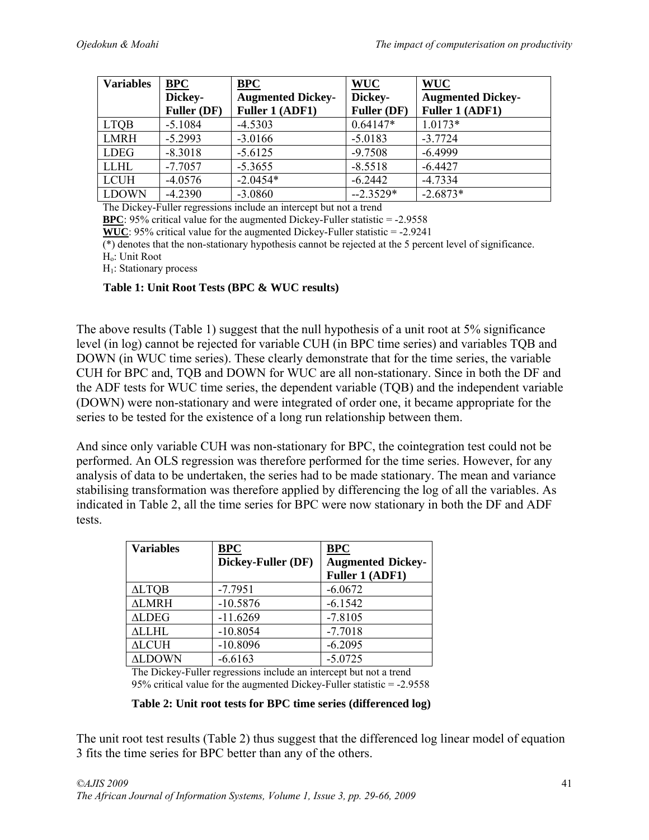| <b>Variables</b> | <b>BPC</b>         | <b>BPC</b>               | <b>WUC</b>  | <b>WUC</b>               |
|------------------|--------------------|--------------------------|-------------|--------------------------|
|                  | Dickey-            | <b>Augmented Dickey-</b> | Dickey-     | <b>Augmented Dickey-</b> |
|                  | <b>Fuller (DF)</b> | Fuller 1 (ADF1)          | Fuller (DF) | Fuller 1 (ADF1)          |
| <b>LTOB</b>      | $-5.1084$          | $-4.5303$                | $0.64147*$  | $1.0173*$                |
| LMRH             | $-5.2993$          | $-3.0166$                | $-5.0183$   | $-3.7724$                |
| <b>LDEG</b>      | $-8.3018$          | $-5.6125$                | $-9.7508$   | $-6.4999$                |
| <b>LLHL</b>      | $-7.7057$          | $-5.3655$                | $-8.5518$   | $-6.4427$                |
| <b>LCUH</b>      | $-4.0576$          | $-2.0454*$               | $-6.2442$   | $-4.7334$                |
| <b>LDOWN</b>     | $-4.2390$          | $-3.0860$                | $-2.3529*$  | $-2.6873*$               |

The Dickey-Fuller regressions include an intercept but not a trend

**BPC**: 95% critical value for the augmented Dickey-Fuller statistic = -2.9558

**WUC**: 95% critical value for the augmented Dickey-Fuller statistic = -2.9241

(\*) denotes that the non-stationary hypothesis cannot be rejected at the 5 percent level of significance.

Ho: Unit Root

H<sub>1</sub>: Stationary process

#### **Table 1: Unit Root Tests (BPC & WUC results)**

The above results (Table 1) suggest that the null hypothesis of a unit root at 5% significance level (in log) cannot be rejected for variable CUH (in BPC time series) and variables TQB and DOWN (in WUC time series). These clearly demonstrate that for the time series, the variable CUH for BPC and, TQB and DOWN for WUC are all non-stationary. Since in both the DF and the ADF tests for WUC time series, the dependent variable (TQB) and the independent variable (DOWN) were non-stationary and were integrated of order one, it became appropriate for the series to be tested for the existence of a long run relationship between them.

And since only variable CUH was non-stationary for BPC, the cointegration test could not be performed. An OLS regression was therefore performed for the time series. However, for any analysis of data to be undertaken, the series had to be made stationary. The mean and variance stabilising transformation was therefore applied by differencing the log of all the variables. As indicated in Table 2, all the time series for BPC were now stationary in both the DF and ADF tests.

| <b>Variables</b> | <b>BPC</b>         | <b>BPC</b>               |
|------------------|--------------------|--------------------------|
|                  | Dickey-Fuller (DF) | <b>Augmented Dickey-</b> |
|                  |                    | Fuller 1 (ADF1)          |
| <b>ALTQB</b>     | $-7.7951$          | $-6.0672$                |
| <b>ALMRH</b>     | $-10.5876$         | $-6.1542$                |
| <b>ALDEG</b>     | $-11.6269$         | $-7.8105$                |
| <b>ALLHL</b>     | $-10.8054$         | $-7.7018$                |
| <b>ALCUH</b>     | $-10.8096$         | $-6.2095$                |
| <b>ALDOWN</b>    | $-6.6163$          | $-5.0725$                |

The Dickey-Fuller regressions include an intercept but not a trend 95% critical value for the augmented Dickey-Fuller statistic = -2.9558

#### **Table 2: Unit root tests for BPC time series (differenced log)**

The unit root test results (Table 2) thus suggest that the differenced log linear model of equation 3 fits the time series for BPC better than any of the others.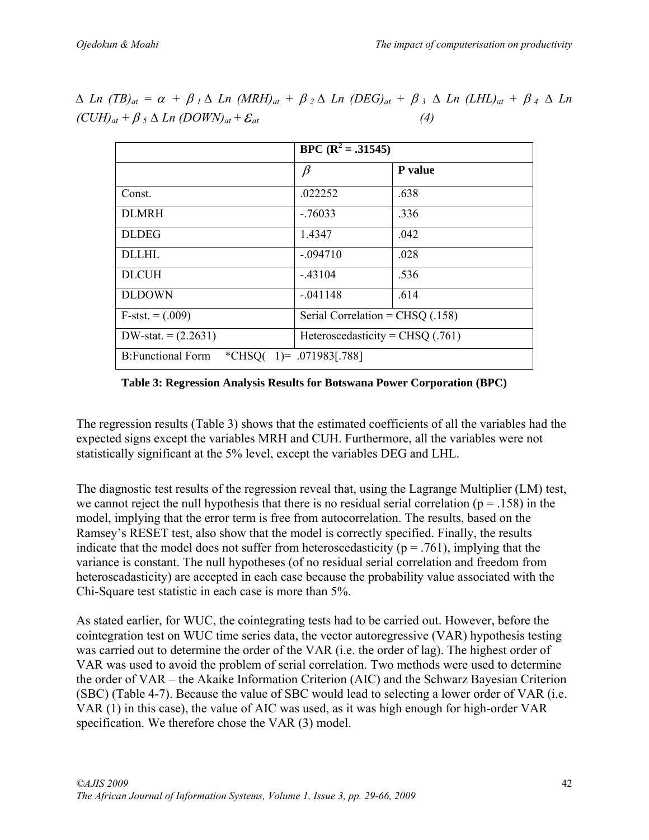|                          | $BPC$ $(R^2 = .31545)$             |                |
|--------------------------|------------------------------------|----------------|
|                          | $\beta$                            | <b>P</b> value |
| Const.                   | .022252                            | .638           |
| <b>DLMRH</b>             | $-76033$                           | .336           |
| <b>DLDEG</b>             | 1.4347                             | .042           |
| <b>DLLHL</b>             | $-.094710$                         | .028           |
| <b>DLCUH</b>             | $-43104$                           | .536           |
| <b>DLDOWN</b>            | $-.041148$                         | .614           |
| $F-stst. = (.009)$       | Serial Correlation = $CHSQ$ (.158) |                |
| DW-stat. $= (2.2631)$    | Heteroscedasticity = CHSQ $(.761)$ |                |
| <b>B:Functional Form</b> | *CHSQ( $1$ )= .071983[.788]        |                |

 $\Delta$  *Ln* (*TB*)<sub>at</sub> =  $\alpha$  +  $\beta$ <sub>*I*</sub>  $\Delta$  *Ln* (*MRH*)<sub>at</sub> +  $\beta$ <sub>2</sub> $\Delta$  *Ln* (*DEG*)<sub>at</sub> +  $\beta$ <sub>3</sub> $\Delta$  *Ln* (*LHL*)<sub>at</sub> +  $\beta$ <sub>4</sub> $\Delta$  *Ln*  $(CUH)_{at} + \beta_5 \Delta Ln (DOWN)_{at} + \mathcal{E}_{at}$  (4)

**Table 3: Regression Analysis Results for Botswana Power Corporation (BPC)** 

The regression results (Table 3) shows that the estimated coefficients of all the variables had the expected signs except the variables MRH and CUH. Furthermore, all the variables were not statistically significant at the 5% level, except the variables DEG and LHL.

The diagnostic test results of the regression reveal that, using the Lagrange Multiplier (LM) test, we cannot reject the null hypothesis that there is no residual serial correlation ( $p = .158$ ) in the model, implying that the error term is free from autocorrelation. The results, based on the Ramsey's RESET test, also show that the model is correctly specified. Finally, the results indicate that the model does not suffer from heteroscedasticity ( $p = .761$ ), implying that the variance is constant. The null hypotheses (of no residual serial correlation and freedom from heteroscadasticity) are accepted in each case because the probability value associated with the Chi-Square test statistic in each case is more than 5%.

As stated earlier, for WUC, the cointegrating tests had to be carried out. However, before the cointegration test on WUC time series data, the vector autoregressive (VAR) hypothesis testing was carried out to determine the order of the VAR (i.e. the order of lag). The highest order of VAR was used to avoid the problem of serial correlation. Two methods were used to determine the order of VAR – the Akaike Information Criterion (AIC) and the Schwarz Bayesian Criterion (SBC) (Table 4-7). Because the value of SBC would lead to selecting a lower order of VAR (i.e. VAR (1) in this case), the value of AIC was used, as it was high enough for high-order VAR specification. We therefore chose the VAR (3) model.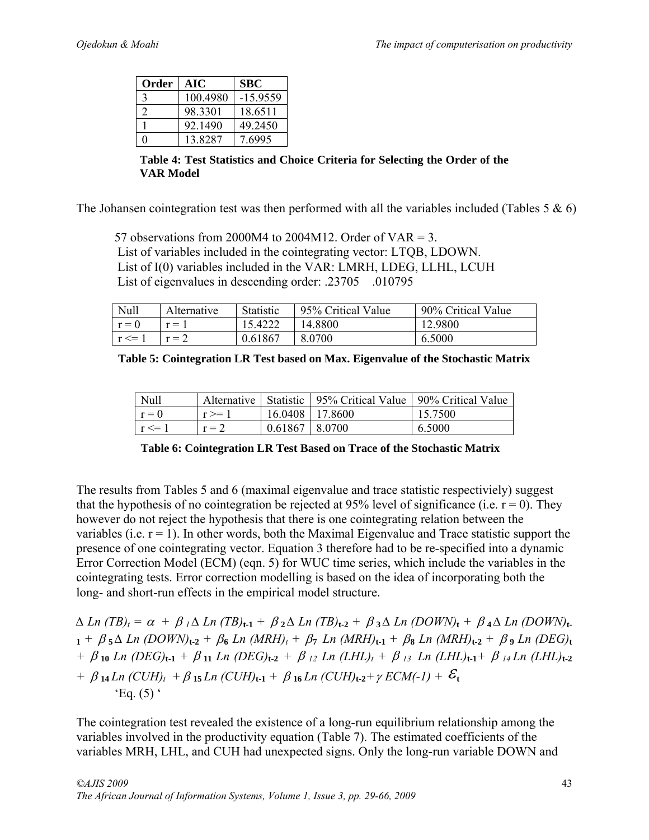| Order | AIC      | <b>SBC</b> |
|-------|----------|------------|
| 3     | 100.4980 | -15.9559   |
|       | 98 3301  | 18.6511    |
|       | 92.1490  | 49.2450    |
|       | 13.8287  | 7.6995     |

**Table 4: Test Statistics and Choice Criteria for Selecting the Order of the VAR Model** 

The Johansen cointegration test was then performed with all the variables included (Tables 5  $\&$  6)

57 observations from 2000M4 to 2004M12. Order of VAR = 3. List of variables included in the cointegrating vector: LTQB, LDOWN. List of I(0) variables included in the VAR: LMRH, LDEG, LLHL, LCUH List of eigenvalues in descending order: .23705 .010795

| Null       | Alternative | <b>Statistic</b> | 95% Critical Value | 90% Critical Value |
|------------|-------------|------------------|--------------------|--------------------|
| $r=0$      | $r = r$     | 15.4222          | 14.8800            | 12.9800            |
| $r \leq 1$ |             | 0.61867          | 8.0700             | 6.5000             |

**Table 5: Cointegration LR Test based on Max. Eigenvalue of the Stochastic Matrix** 

| Null       |          |                    | Alternative   Statistic   95% Critical Value   90% Critical Value |         |
|------------|----------|--------------------|-------------------------------------------------------------------|---------|
| $r = 0$    | $r >= 1$ | 16.0408   17.8600  |                                                                   | 15.7500 |
| $r \leq 1$ | $r = 2$  | $0.61867$   8.0700 |                                                                   | 6.5000  |

**Table 6: Cointegration LR Test Based on Trace of the Stochastic Matrix** 

The results from Tables 5 and 6 (maximal eigenvalue and trace statistic respectiviely) suggest that the hypothesis of no cointegration be rejected at 95% level of significance (i.e.  $r = 0$ ). They however do not reject the hypothesis that there is one cointegrating relation between the variables (i.e.  $r = 1$ ). In other words, both the Maximal Eigenvalue and Trace statistic support the presence of one cointegrating vector. Equation 3 therefore had to be re-specified into a dynamic Error Correction Model (ECM) (eqn. 5) for WUC time series, which include the variables in the cointegrating tests. Error correction modelling is based on the idea of incorporating both the long- and short-run effects in the empirical model structure.

 $\Delta$  Ln (TB)<sub>t</sub> =  $\alpha$  +  $\beta$ <sub>1</sub> $\Delta$  Ln (TB)<sub>t-1</sub> +  $\beta$ <sub>2</sub> $\Delta$  Ln (TB)<sub>t-2</sub> +  $\beta$ <sub>3</sub> $\Delta$  Ln (DOWN)<sub>t</sub> +  $\beta$ <sub>4</sub> $\Delta$  Ln (DOWN)<sub>t</sub>  $1 + \beta_5 \Delta$  Ln (DOWN) $_{t-2} + \beta_6$  Ln (MRH)<sub>t</sub> +  $\beta_7$  Ln (MRH) $_{t-1} + \beta_8$  Ln (MRH) $_{t-2} + \beta_9$  Ln (DEG)<sub>t</sub> *+*  **<sup>10</sup>** *Ln (DEG)***t-1** + **<sup>11</sup>** *Ln (DEG)***t-2** *+ 12 Ln (LHL)t + 13 Ln (LHL)***t-1***+ 14 Ln (LHL)***t-2**  $+ \beta_{14}$  *Ln* (CUH)<sub>t</sub> +  $\beta_{15}$  *Ln* (CUH)<sub>t-1</sub> +  $\beta_{16}$  *Ln* (CUH)<sub>t-2</sub>+ $\gamma$  *ECM*(-1) +  $\mathcal{E}_{t}$ 'Eq.  $(5)$ '

The cointegration test revealed the existence of a long-run equilibrium relationship among the variables involved in the productivity equation (Table 7). The estimated coefficients of the variables MRH, LHL, and CUH had unexpected signs. Only the long-run variable DOWN and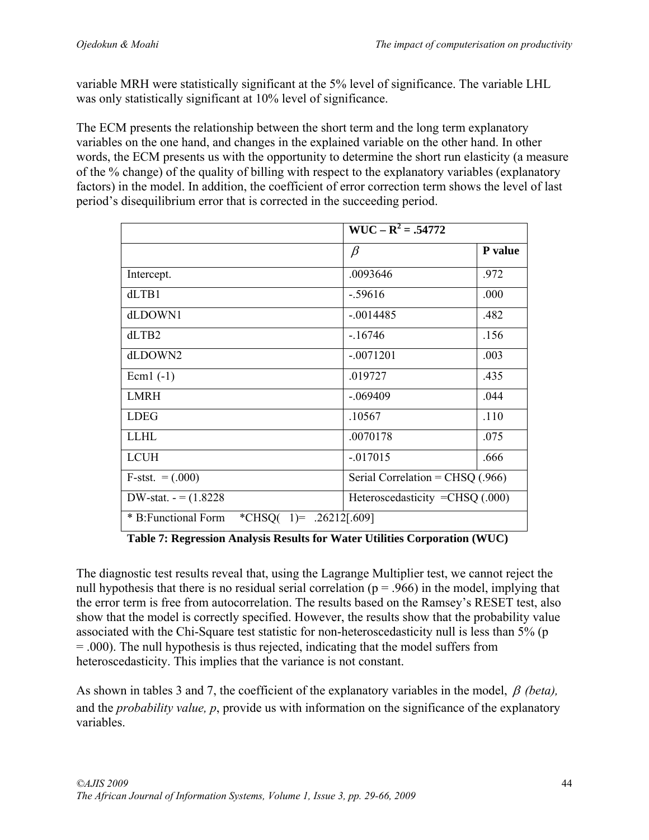variable MRH were statistically significant at the 5% level of significance. The variable LHL was only statistically significant at 10% level of significance.

The ECM presents the relationship between the short term and the long term explanatory variables on the one hand, and changes in the explained variable on the other hand. In other words, the ECM presents us with the opportunity to determine the short run elasticity (a measure of the % change) of the quality of billing with respect to the explanatory variables (explanatory factors) in the model. In addition, the coefficient of error correction term shows the level of last period's disequilibrium error that is corrected in the succeeding period.

|                                                   | $WUC - R^2 = .54772$               |         |  |
|---------------------------------------------------|------------------------------------|---------|--|
|                                                   | $\beta$                            | P value |  |
| Intercept.                                        | .0093646                           | .972    |  |
| dLTB1                                             | $-.59616$                          | .000    |  |
| dLDOWN1                                           | $-.0014485$                        | .482    |  |
| dLTB2                                             | $-16746$                           | .156    |  |
| dLDOWN2                                           | $-.0071201$                        | .003    |  |
| Ecm $1(-1)$                                       | .019727                            | .435    |  |
| <b>LMRH</b>                                       | $-.069409$                         | .044    |  |
| <b>LDEG</b>                                       | .10567                             | .110    |  |
| <b>LLHL</b>                                       | .0070178                           | .075    |  |
| <b>LCUH</b>                                       | $-017015$                          | .666    |  |
| $F-stst. = (.000)$                                | Serial Correlation = $CHSQ$ (.966) |         |  |
| DW-stat. $-=(1.8228)$                             | Heteroscedasticity = $CHSQ(000)$   |         |  |
| * B: Functional Form<br>*CHSQ( 1)= $.26212[.609]$ |                                    |         |  |

**Table 7: Regression Analysis Results for Water Utilities Corporation (WUC)** 

The diagnostic test results reveal that, using the Lagrange Multiplier test, we cannot reject the null hypothesis that there is no residual serial correlation ( $p = .966$ ) in the model, implying that the error term is free from autocorrelation. The results based on the Ramsey's RESET test, also show that the model is correctly specified. However, the results show that the probability value associated with the Chi-Square test statistic for non-heteroscedasticity null is less than 5% (p = .000). The null hypothesis is thus rejected, indicating that the model suffers from heteroscedasticity. This implies that the variance is not constant.

As shown in tables 3 and 7, the coefficient of the explanatory variables in the model, *(beta),* and the *probability value, p*, provide us with information on the significance of the explanatory variables.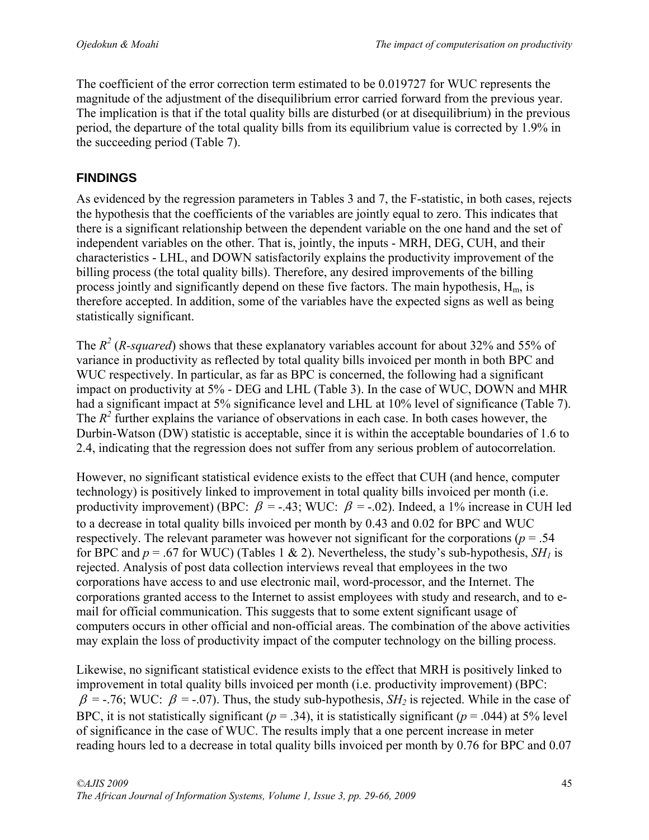The coefficient of the error correction term estimated to be 0.019727 for WUC represents the magnitude of the adjustment of the disequilibrium error carried forward from the previous year. The implication is that if the total quality bills are disturbed (or at disequilibrium) in the previous period, the departure of the total quality bills from its equilibrium value is corrected by 1.9% in the succeeding period (Table 7).

# **FINDINGS**

As evidenced by the regression parameters in Tables 3 and 7, the F-statistic, in both cases, rejects the hypothesis that the coefficients of the variables are jointly equal to zero. This indicates that there is a significant relationship between the dependent variable on the one hand and the set of independent variables on the other. That is, jointly, the inputs - MRH, DEG, CUH, and their characteristics - LHL, and DOWN satisfactorily explains the productivity improvement of the billing process (the total quality bills). Therefore, any desired improvements of the billing process jointly and significantly depend on these five factors. The main hypothesis,  $H_m$ , is therefore accepted. In addition, some of the variables have the expected signs as well as being statistically significant.

The  $R^2$  (*R*-squared) shows that these explanatory variables account for about 32% and 55% of variance in productivity as reflected by total quality bills invoiced per month in both BPC and WUC respectively. In particular, as far as BPC is concerned, the following had a significant impact on productivity at 5% - DEG and LHL (Table 3). In the case of WUC, DOWN and MHR had a significant impact at 5% significance level and LHL at 10% level of significance (Table 7). The  $R^2$  further explains the variance of observations in each case. In both cases however, the Durbin-Watson (DW) statistic is acceptable, since it is within the acceptable boundaries of 1.6 to 2.4, indicating that the regression does not suffer from any serious problem of autocorrelation.

However, no significant statistical evidence exists to the effect that CUH (and hence, computer technology) is positively linked to improvement in total quality bills invoiced per month (i.e. productivity improvement) (BPC:  $\beta$  = -.43; WUC:  $\beta$  = -.02). Indeed, a 1% increase in CUH led to a decrease in total quality bills invoiced per month by 0.43 and 0.02 for BPC and WUC respectively. The relevant parameter was however not significant for the corporations ( $p = .54$ ) for BPC and  $p = .67$  for WUC) (Tables 1 & 2). Nevertheless, the study's sub-hypothesis, *SH<sub>1</sub>* is rejected. Analysis of post data collection interviews reveal that employees in the two corporations have access to and use electronic mail, word-processor, and the Internet. The corporations granted access to the Internet to assist employees with study and research, and to email for official communication. This suggests that to some extent significant usage of computers occurs in other official and non-official areas. The combination of the above activities may explain the loss of productivity impact of the computer technology on the billing process.

Likewise, no significant statistical evidence exists to the effect that MRH is positively linked to improvement in total quality bills invoiced per month (i.e. productivity improvement) (BPC:  $\beta$  = -.76; WUC:  $\beta$  = -.07). Thus, the study sub-hypothesis, *SH*<sub>2</sub> is rejected. While in the case of BPC, it is not statistically significant ( $p = .34$ ), it is statistically significant ( $p = .044$ ) at 5% level of significance in the case of WUC. The results imply that a one percent increase in meter reading hours led to a decrease in total quality bills invoiced per month by 0.76 for BPC and 0.07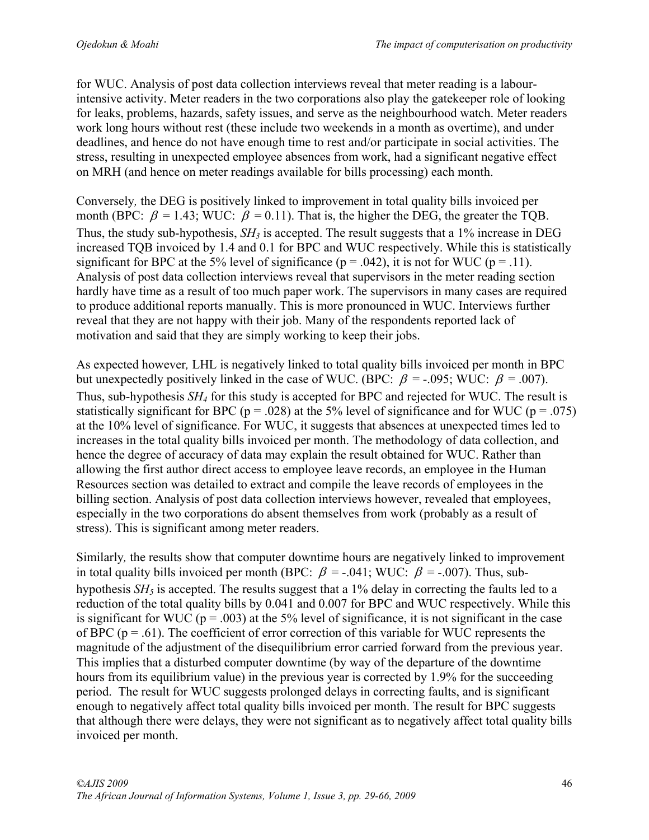for WUC. Analysis of post data collection interviews reveal that meter reading is a labourintensive activity. Meter readers in the two corporations also play the gatekeeper role of looking for leaks, problems, hazards, safety issues, and serve as the neighbourhood watch. Meter readers work long hours without rest (these include two weekends in a month as overtime), and under deadlines, and hence do not have enough time to rest and/or participate in social activities. The stress, resulting in unexpected employee absences from work, had a significant negative effect on MRH (and hence on meter readings available for bills processing) each month.

Conversely*,* the DEG is positively linked to improvement in total quality bills invoiced per month (BPC:  $\beta = 1.43$ ; WUC:  $\beta = 0.11$ ). That is, the higher the DEG, the greater the TQB. Thus, the study sub-hypothesis,  $SH_3$  is accepted. The result suggests that a 1% increase in DEG increased TQB invoiced by 1.4 and 0.1 for BPC and WUC respectively. While this is statistically significant for BPC at the 5% level of significance ( $p = .042$ ), it is not for WUC ( $p = .11$ ). Analysis of post data collection interviews reveal that supervisors in the meter reading section hardly have time as a result of too much paper work. The supervisors in many cases are required to produce additional reports manually. This is more pronounced in WUC. Interviews further reveal that they are not happy with their job. Many of the respondents reported lack of motivation and said that they are simply working to keep their jobs.

As expected however*,* LHL is negatively linked to total quality bills invoiced per month in BPC but unexpectedly positively linked in the case of WUC. (BPC:  $\beta$  = -.095; WUC:  $\beta$  = .007). Thus, sub-hypothesis *SH4* for this study is accepted for BPC and rejected for WUC. The result is statistically significant for BPC ( $p = .028$ ) at the 5% level of significance and for WUC ( $p = .075$ ) at the 10% level of significance. For WUC, it suggests that absences at unexpected times led to increases in the total quality bills invoiced per month. The methodology of data collection, and hence the degree of accuracy of data may explain the result obtained for WUC. Rather than allowing the first author direct access to employee leave records, an employee in the Human Resources section was detailed to extract and compile the leave records of employees in the billing section. Analysis of post data collection interviews however, revealed that employees, especially in the two corporations do absent themselves from work (probably as a result of stress). This is significant among meter readers.

Similarly*,* the results show that computer downtime hours are negatively linked to improvement in total quality bills invoiced per month (BPC:  $\beta$  = -.041; WUC:  $\beta$  = -.007). Thus, subhypothesis  $SH<sub>5</sub>$  is accepted. The results suggest that a 1% delay in correcting the faults led to a reduction of the total quality bills by 0.041 and 0.007 for BPC and WUC respectively. While this is significant for WUC ( $p = .003$ ) at the 5% level of significance, it is not significant in the case of BPC ( $p = .61$ ). The coefficient of error correction of this variable for WUC represents the magnitude of the adjustment of the disequilibrium error carried forward from the previous year. This implies that a disturbed computer downtime (by way of the departure of the downtime hours from its equilibrium value) in the previous year is corrected by 1.9% for the succeeding period. The result for WUC suggests prolonged delays in correcting faults, and is significant enough to negatively affect total quality bills invoiced per month. The result for BPC suggests that although there were delays, they were not significant as to negatively affect total quality bills invoiced per month.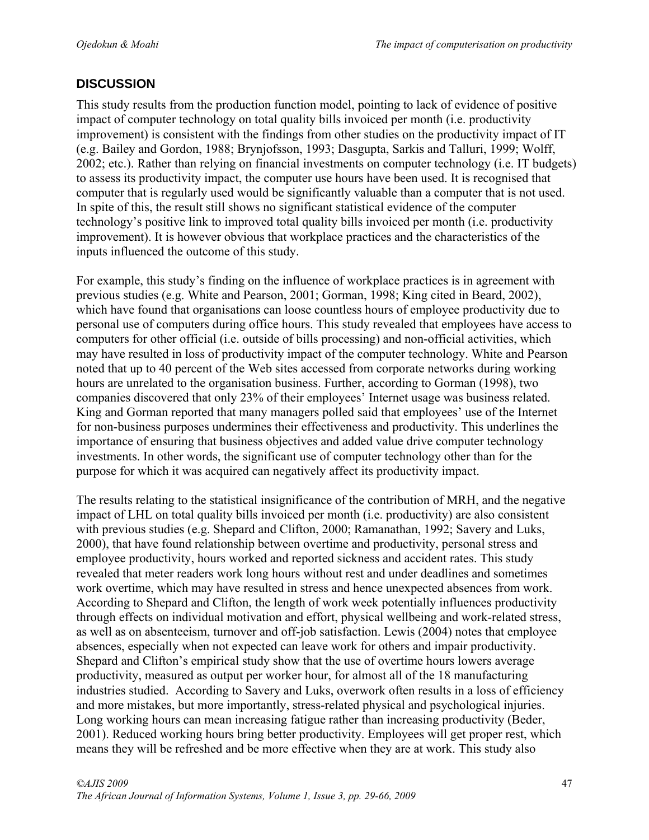### **DISCUSSION**

This study results from the production function model, pointing to lack of evidence of positive impact of computer technology on total quality bills invoiced per month (i.e. productivity improvement) is consistent with the findings from other studies on the productivity impact of IT (e.g. Bailey and Gordon, 1988; Brynjofsson, 1993; Dasgupta, Sarkis and Talluri, 1999; Wolff, 2002; etc.). Rather than relying on financial investments on computer technology (i.e. IT budgets) to assess its productivity impact, the computer use hours have been used. It is recognised that computer that is regularly used would be significantly valuable than a computer that is not used. In spite of this, the result still shows no significant statistical evidence of the computer technology's positive link to improved total quality bills invoiced per month (i.e. productivity improvement). It is however obvious that workplace practices and the characteristics of the inputs influenced the outcome of this study.

For example, this study's finding on the influence of workplace practices is in agreement with previous studies (e.g. White and Pearson, 2001; Gorman, 1998; King cited in Beard, 2002), which have found that organisations can loose countless hours of employee productivity due to personal use of computers during office hours. This study revealed that employees have access to computers for other official (i.e. outside of bills processing) and non-official activities, which may have resulted in loss of productivity impact of the computer technology. White and Pearson noted that up to 40 percent of the Web sites accessed from corporate networks during working hours are unrelated to the organisation business. Further, according to Gorman (1998), two companies discovered that only 23% of their employees' Internet usage was business related. King and Gorman reported that many managers polled said that employees' use of the Internet for non-business purposes undermines their effectiveness and productivity. This underlines the importance of ensuring that business objectives and added value drive computer technology investments. In other words, the significant use of computer technology other than for the purpose for which it was acquired can negatively affect its productivity impact.

The results relating to the statistical insignificance of the contribution of MRH, and the negative impact of LHL on total quality bills invoiced per month (i.e. productivity) are also consistent with previous studies (e.g. Shepard and Clifton, 2000; Ramanathan, 1992; Savery and Luks, 2000), that have found relationship between overtime and productivity, personal stress and employee productivity, hours worked and reported sickness and accident rates. This study revealed that meter readers work long hours without rest and under deadlines and sometimes work overtime, which may have resulted in stress and hence unexpected absences from work. According to Shepard and Clifton, the length of work week potentially influences productivity through effects on individual motivation and effort, physical wellbeing and work-related stress, as well as on absenteeism, turnover and off-job satisfaction. Lewis (2004) notes that employee absences, especially when not expected can leave work for others and impair productivity. Shepard and Clifton's empirical study show that the use of overtime hours lowers average productivity, measured as output per worker hour, for almost all of the 18 manufacturing industries studied. According to Savery and Luks, overwork often results in a loss of efficiency and more mistakes, but more importantly, stress-related physical and psychological injuries. Long working hours can mean increasing fatigue rather than increasing productivity (Beder, 2001). Reduced working hours bring better productivity. Employees will get proper rest, which means they will be refreshed and be more effective when they are at work. This study also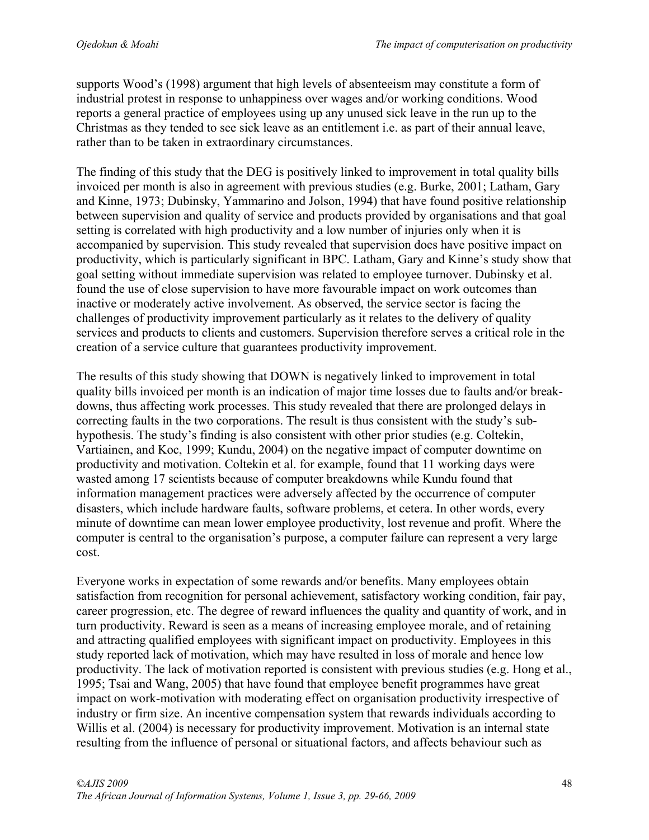supports Wood's (1998) argument that high levels of absenteeism may constitute a form of industrial protest in response to unhappiness over wages and/or working conditions. Wood reports a general practice of employees using up any unused sick leave in the run up to the Christmas as they tended to see sick leave as an entitlement i.e. as part of their annual leave, rather than to be taken in extraordinary circumstances.

The finding of this study that the DEG is positively linked to improvement in total quality bills invoiced per month is also in agreement with previous studies (e.g. Burke, 2001; Latham, Gary and Kinne, 1973; Dubinsky, Yammarino and Jolson, 1994) that have found positive relationship between supervision and quality of service and products provided by organisations and that goal setting is correlated with high productivity and a low number of injuries only when it is accompanied by supervision. This study revealed that supervision does have positive impact on productivity, which is particularly significant in BPC. Latham, Gary and Kinne's study show that goal setting without immediate supervision was related to employee turnover. Dubinsky et al. found the use of close supervision to have more favourable impact on work outcomes than inactive or moderately active involvement. As observed, the service sector is facing the challenges of productivity improvement particularly as it relates to the delivery of quality services and products to clients and customers. Supervision therefore serves a critical role in the creation of a service culture that guarantees productivity improvement.

The results of this study showing that DOWN is negatively linked to improvement in total quality bills invoiced per month is an indication of major time losses due to faults and/or breakdowns, thus affecting work processes. This study revealed that there are prolonged delays in correcting faults in the two corporations. The result is thus consistent with the study's subhypothesis. The study's finding is also consistent with other prior studies (e.g. Coltekin, Vartiainen, and Koc, 1999; Kundu, 2004) on the negative impact of computer downtime on productivity and motivation. Coltekin et al. for example, found that 11 working days were wasted among 17 scientists because of computer breakdowns while Kundu found that information management practices were adversely affected by the occurrence of computer disasters, which include hardware faults, software problems, et cetera. In other words, every minute of downtime can mean lower employee productivity, lost revenue and profit. Where the computer is central to the organisation's purpose, a computer failure can represent a very large cost.

Everyone works in expectation of some rewards and/or benefits. Many employees obtain satisfaction from recognition for personal achievement, satisfactory working condition, fair pay, career progression, etc. The degree of reward influences the quality and quantity of work, and in turn productivity. Reward is seen as a means of increasing employee morale, and of retaining and attracting qualified employees with significant impact on productivity. Employees in this study reported lack of motivation, which may have resulted in loss of morale and hence low productivity. The lack of motivation reported is consistent with previous studies (e.g. Hong et al., 1995; Tsai and Wang, 2005) that have found that employee benefit programmes have great impact on work-motivation with moderating effect on organisation productivity irrespective of industry or firm size. An incentive compensation system that rewards individuals according to Willis et al. (2004) is necessary for productivity improvement. Motivation is an internal state resulting from the influence of personal or situational factors, and affects behaviour such as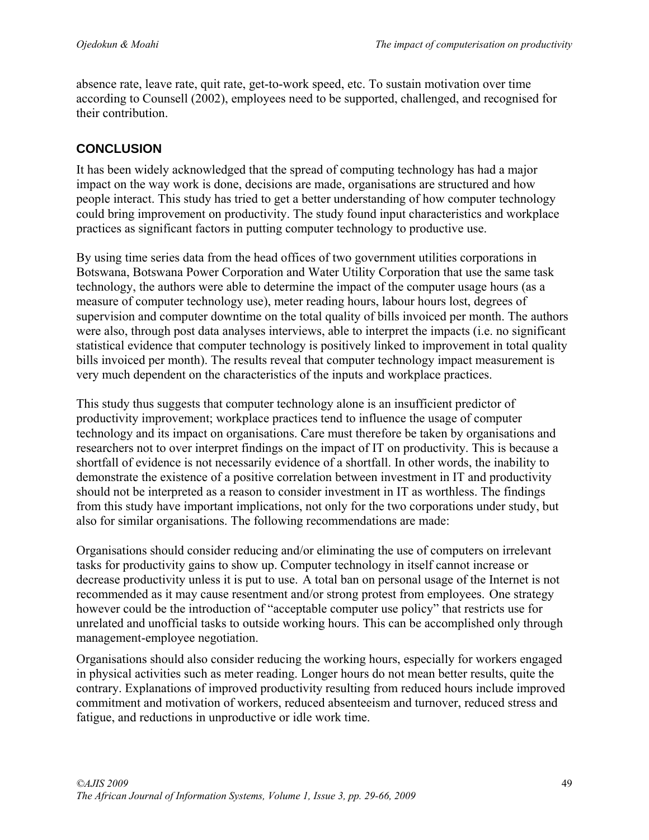absence rate, leave rate, quit rate, get-to-work speed, etc. To sustain motivation over time according to Counsell (2002), employees need to be supported, challenged, and recognised for their contribution.

### **CONCLUSION**

It has been widely acknowledged that the spread of computing technology has had a major impact on the way work is done, decisions are made, organisations are structured and how people interact. This study has tried to get a better understanding of how computer technology could bring improvement on productivity. The study found input characteristics and workplace practices as significant factors in putting computer technology to productive use.

By using time series data from the head offices of two government utilities corporations in Botswana, Botswana Power Corporation and Water Utility Corporation that use the same task technology, the authors were able to determine the impact of the computer usage hours (as a measure of computer technology use), meter reading hours, labour hours lost, degrees of supervision and computer downtime on the total quality of bills invoiced per month. The authors were also, through post data analyses interviews, able to interpret the impacts (i.e. no significant statistical evidence that computer technology is positively linked to improvement in total quality bills invoiced per month). The results reveal that computer technology impact measurement is very much dependent on the characteristics of the inputs and workplace practices.

This study thus suggests that computer technology alone is an insufficient predictor of productivity improvement; workplace practices tend to influence the usage of computer technology and its impact on organisations. Care must therefore be taken by organisations and researchers not to over interpret findings on the impact of IT on productivity. This is because a shortfall of evidence is not necessarily evidence of a shortfall. In other words, the inability to demonstrate the existence of a positive correlation between investment in IT and productivity should not be interpreted as a reason to consider investment in IT as worthless. The findings from this study have important implications, not only for the two corporations under study, but also for similar organisations. The following recommendations are made:

Organisations should consider reducing and/or eliminating the use of computers on irrelevant tasks for productivity gains to show up. Computer technology in itself cannot increase or decrease productivity unless it is put to use. A total ban on personal usage of the Internet is not recommended as it may cause resentment and/or strong protest from employees. One strategy however could be the introduction of "acceptable computer use policy" that restricts use for unrelated and unofficial tasks to outside working hours. This can be accomplished only through management-employee negotiation.

Organisations should also consider reducing the working hours, especially for workers engaged in physical activities such as meter reading. Longer hours do not mean better results, quite the contrary. Explanations of improved productivity resulting from reduced hours include improved commitment and motivation of workers, reduced absenteeism and turnover, reduced stress and fatigue, and reductions in unproductive or idle work time.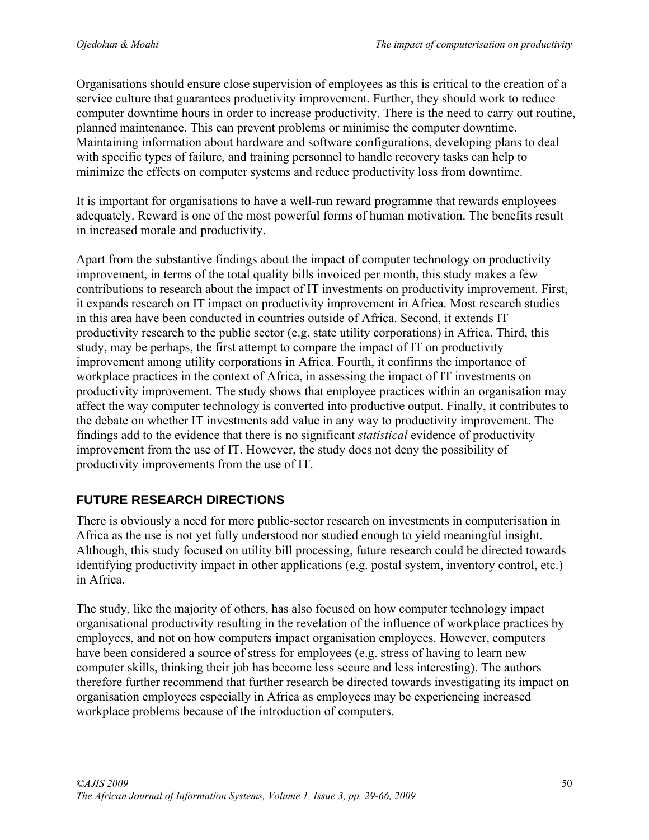Organisations should ensure close supervision of employees as this is critical to the creation of a service culture that guarantees productivity improvement. Further, they should work to reduce computer downtime hours in order to increase productivity. There is the need to carry out routine, planned maintenance. This can prevent problems or minimise the computer downtime. Maintaining information about hardware and software configurations, developing plans to deal with specific types of failure, and training personnel to handle recovery tasks can help to minimize the effects on computer systems and reduce productivity loss from downtime.

It is important for organisations to have a well-run reward programme that rewards employees adequately. Reward is one of the most powerful forms of human motivation. The benefits result in increased morale and productivity.

Apart from the substantive findings about the impact of computer technology on productivity improvement, in terms of the total quality bills invoiced per month, this study makes a few contributions to research about the impact of IT investments on productivity improvement. First, it expands research on IT impact on productivity improvement in Africa. Most research studies in this area have been conducted in countries outside of Africa. Second, it extends IT productivity research to the public sector (e.g. state utility corporations) in Africa. Third, this study, may be perhaps, the first attempt to compare the impact of IT on productivity improvement among utility corporations in Africa. Fourth, it confirms the importance of workplace practices in the context of Africa, in assessing the impact of IT investments on productivity improvement. The study shows that employee practices within an organisation may affect the way computer technology is converted into productive output. Finally, it contributes to the debate on whether IT investments add value in any way to productivity improvement. The findings add to the evidence that there is no significant *statistical* evidence of productivity improvement from the use of IT. However, the study does not deny the possibility of productivity improvements from the use of IT.

# **FUTURE RESEARCH DIRECTIONS**

There is obviously a need for more public-sector research on investments in computerisation in Africa as the use is not yet fully understood nor studied enough to yield meaningful insight. Although, this study focused on utility bill processing, future research could be directed towards identifying productivity impact in other applications (e.g. postal system, inventory control, etc.) in Africa.

The study, like the majority of others, has also focused on how computer technology impact organisational productivity resulting in the revelation of the influence of workplace practices by employees, and not on how computers impact organisation employees. However, computers have been considered a source of stress for employees (e.g. stress of having to learn new computer skills, thinking their job has become less secure and less interesting). The authors therefore further recommend that further research be directed towards investigating its impact on organisation employees especially in Africa as employees may be experiencing increased workplace problems because of the introduction of computers.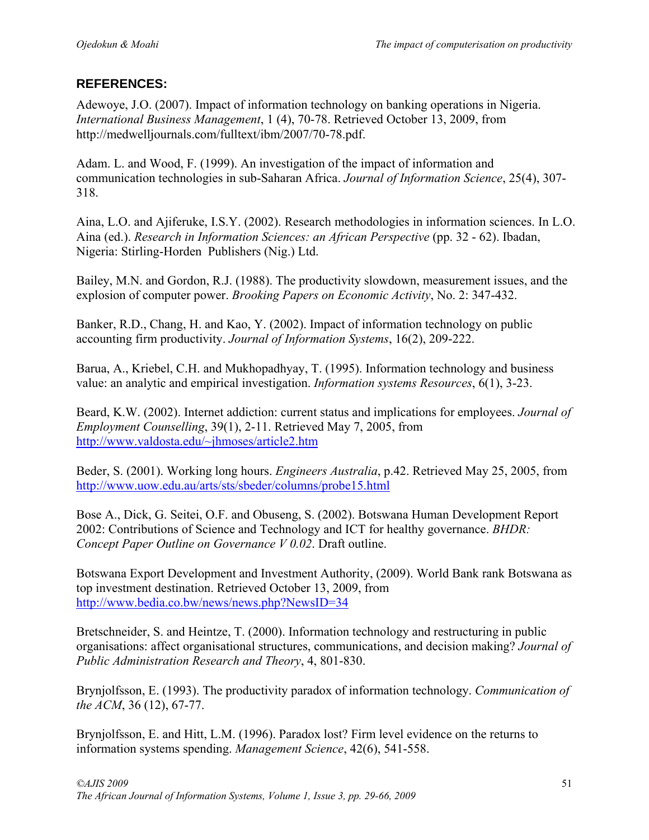### **REFERENCES:**

Adewoye, J.O. (2007). Impact of information technology on banking operations in Nigeria. *International Business Management*, 1 (4), 70-78. Retrieved October 13, 2009, from http://medwelljournals.com/fulltext/ibm/2007/70-78.pdf.

Adam. L. and Wood, F. (1999). An investigation of the impact of information and communication technologies in sub-Saharan Africa. *Journal of Information Science*, 25(4), 307- 318.

Aina, L.O. and Ajiferuke, I.S.Y. (2002). Research methodologies in information sciences. In L.O. Aina (ed.). *Research in Information Sciences: an African Perspective* (pp. 32 - 62). Ibadan, Nigeria: Stirling-Horden Publishers (Nig.) Ltd.

Bailey, M.N. and Gordon, R.J. (1988). The productivity slowdown, measurement issues, and the explosion of computer power. *Brooking Papers on Economic Activity*, No. 2: 347-432.

Banker, R.D., Chang, H. and Kao, Y. (2002). Impact of information technology on public accounting firm productivity. *Journal of Information Systems*, 16(2), 209-222.

Barua, A., Kriebel, C.H. and Mukhopadhyay, T. (1995). Information technology and business value: an analytic and empirical investigation. *Information systems Resources*, 6(1), 3-23.

Beard, K.W. (2002). Internet addiction: current status and implications for employees. *Journal of Employment Counselling*, 39(1), 2-11. Retrieved May 7, 2005, from http://www.valdosta.edu/~jhmoses/article2.htm

Beder, S. (2001). Working long hours. *Engineers Australia*, p.42. Retrieved May 25, 2005, from http://www.uow.edu.au/arts/sts/sbeder/columns/probe15.html

Bose A., Dick, G. Seitei, O.F. and Obuseng, S. (2002). Botswana Human Development Report 2002: Contributions of Science and Technology and ICT for healthy governance. *BHDR: Concept Paper Outline on Governance V 0.02*. Draft outline.

Botswana Export Development and Investment Authority, (2009). World Bank rank Botswana as top investment destination. Retrieved October 13, 2009, from http://www.bedia.co.bw/news/news.php?NewsID=34

Bretschneider, S. and Heintze, T. (2000). Information technology and restructuring in public organisations: affect organisational structures, communications, and decision making? *Journal of Public Administration Research and Theory*, 4, 801-830.

Brynjolfsson, E. (1993). The productivity paradox of information technology. *Communication of the ACM*, 36 (12), 67-77.

Brynjolfsson, E. and Hitt, L.M. (1996). Paradox lost? Firm level evidence on the returns to information systems spending. *Management Science*, 42(6), 541-558.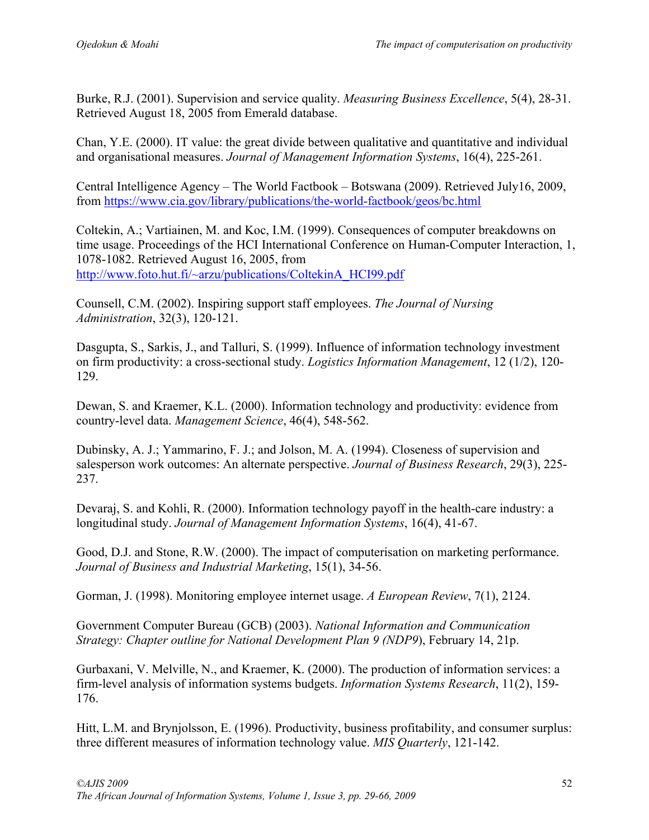Burke, R.J. (2001). Supervision and service quality. *Measuring Business Excellence*, 5(4), 28-31. Retrieved August 18, 2005 from Emerald database.

Chan, Y.E. (2000). IT value: the great divide between qualitative and quantitative and individual and organisational measures. *Journal of Management Information Systems*, 16(4), 225-261.

Central Intelligence Agency – The World Factbook – Botswana (2009). Retrieved July16, 2009, from https://www.cia.gov/library/publications/the-world-factbook/geos/bc.html

Coltekin, A.; Vartiainen, M. and Koc, I.M. (1999). Consequences of computer breakdowns on time usage. Proceedings of the HCI International Conference on Human-Computer Interaction, 1, 1078-1082. Retrieved August 16, 2005, from http://www.foto.hut.fi/~arzu/publications/ColtekinA\_HCI99.pdf

Counsell, C.M. (2002). Inspiring support staff employees. *The Journal of Nursing Administration*, 32(3), 120-121.

Dasgupta, S., Sarkis, J., and Talluri, S. (1999). Influence of information technology investment on firm productivity: a cross-sectional study. *Logistics Information Management*, 12 (1/2), 120- 129.

Dewan, S. and Kraemer, K.L. (2000). Information technology and productivity: evidence from country-level data. *Management Science*, 46(4), 548-562.

Dubinsky, A. J.; Yammarino, F. J.; and Jolson, M. A. (1994). Closeness of supervision and salesperson work outcomes: An alternate perspective. *Journal of Business Research*, 29(3), 225- 237.

Devaraj, S. and Kohli, R. (2000). Information technology payoff in the health-care industry: a longitudinal study. *Journal of Management Information Systems*, 16(4), 41-67.

Good, D.J. and Stone, R.W. (2000). The impact of computerisation on marketing performance. *Journal of Business and Industrial Marketing*, 15(1), 34-56.

Gorman, J. (1998). Monitoring employee internet usage. *A European Review*, 7(1), 2124.

Government Computer Bureau (GCB) (2003). *National Information and Communication Strategy: Chapter outline for National Development Plan 9 (NDP9*), February 14, 21p.

Gurbaxani, V. Melville, N., and Kraemer, K. (2000). The production of information services: a firm-level analysis of information systems budgets. *Information Systems Research*, 11(2), 159- 176.

Hitt, L.M. and Brynjolsson, E. (1996). Productivity, business profitability, and consumer surplus: three different measures of information technology value. *MIS Quarterly*, 121-142.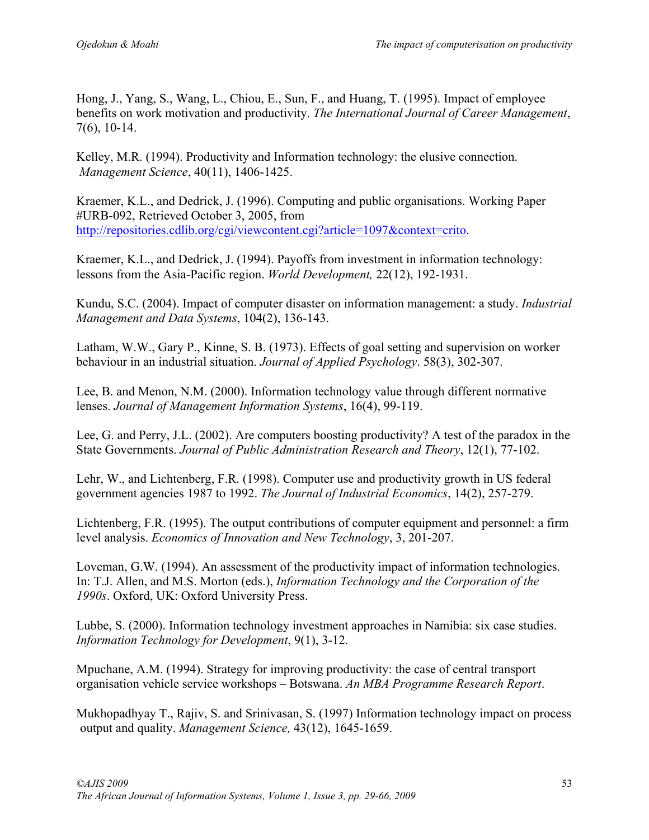Hong, J., Yang, S., Wang, L., Chiou, E., Sun, F., and Huang, T. (1995). Impact of employee benefits on work motivation and productivity. *The International Journal of Career Management*, 7(6), 10-14.

Kelley, M.R. (1994). Productivity and Information technology: the elusive connection. *Management Science*, 40(11), 1406-1425.

Kraemer, K.L., and Dedrick, J. (1996). Computing and public organisations. Working Paper #URB-092, Retrieved October 3, 2005, from http://repositories.cdlib.org/cgi/viewcontent.cgi?article=1097&context=crito.

Kraemer, K.L., and Dedrick, J. (1994). Payoffs from investment in information technology: lessons from the Asia-Pacific region. *World Development,* 22(12), 192-1931.

Kundu, S.C. (2004). Impact of computer disaster on information management: a study. *Industrial Management and Data Systems*, 104(2), 136-143.

Latham, W.W., Gary P., Kinne, S. B. (1973). Effects of goal setting and supervision on worker behaviour in an industrial situation. *Journal of Applied Psychology*. 58(3), 302-307.

Lee, B. and Menon, N.M. (2000). Information technology value through different normative lenses. *Journal of Management Information Systems*, 16(4), 99-119.

Lee, G. and Perry, J.L. (2002). Are computers boosting productivity? A test of the paradox in the State Governments. *Journal of Public Administration Research and Theory*, 12(1), 77-102.

Lehr, W., and Lichtenberg, F.R. (1998). Computer use and productivity growth in US federal government agencies 1987 to 1992. *The Journal of Industrial Economics*, 14(2), 257-279.

Lichtenberg, F.R. (1995). The output contributions of computer equipment and personnel: a firm level analysis. *Economics of Innovation and New Technology*, 3, 201-207.

Loveman, G.W. (1994). An assessment of the productivity impact of information technologies. In: T.J. Allen, and M.S. Morton (eds.), *Information Technology and the Corporation of the 1990s*. Oxford, UK: Oxford University Press.

Lubbe, S. (2000). Information technology investment approaches in Namibia: six case studies. *Information Technology for Development*, 9(1), 3-12.

Mpuchane, A.M. (1994). Strategy for improving productivity: the case of central transport organisation vehicle service workshops – Botswana. *An MBA Programme Research Report*.

Mukhopadhyay T., Rajiv, S. and Srinivasan, S. (1997) Information technology impact on process output and quality. *Management Science,* 43(12), 1645-1659.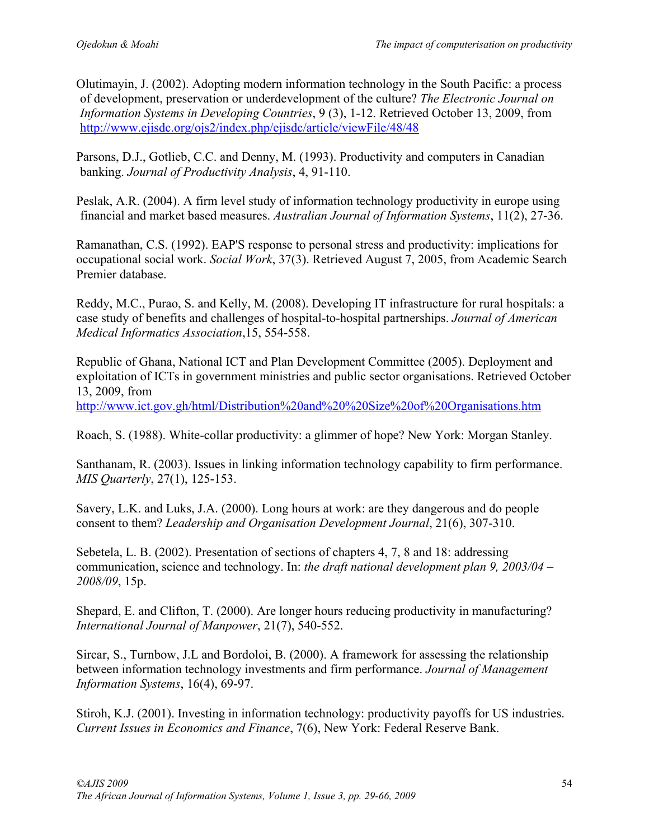Olutimayin, J. (2002). Adopting modern information technology in the South Pacific: a process of development, preservation or underdevelopment of the culture? *The Electronic Journal on Information Systems in Developing Countries*, 9 (3), 1-12. Retrieved October 13, 2009, from http://www.ejisdc.org/ojs2/index.php/ejisdc/article/viewFile/48/48

Parsons, D.J., Gotlieb, C.C. and Denny, M. (1993). Productivity and computers in Canadian banking. *Journal of Productivity Analysis*, 4, 91-110.

Peslak, A.R. (2004). A firm level study of information technology productivity in europe using financial and market based measures. *Australian Journal of Information Systems*, 11(2), 27-36.

Ramanathan, C.S. (1992). EAP'S response to personal stress and productivity: implications for occupational social work. *Social Work*, 37(3). Retrieved August 7, 2005, from Academic Search Premier database.

Reddy, M.C., Purao, S. and Kelly, M. (2008). Developing IT infrastructure for rural hospitals: a case study of benefits and challenges of hospital-to-hospital partnerships. *Journal of American Medical Informatics Association*,15, 554-558.

Republic of Ghana, National ICT and Plan Development Committee (2005). Deployment and exploitation of ICTs in government ministries and public sector organisations. Retrieved October 13, 2009, from http://www.ict.gov.gh/html/Distribution%20and%20%20Size%20of%20Organisations.htm

Roach, S. (1988). White-collar productivity: a glimmer of hope? New York: Morgan Stanley.

Santhanam, R. (2003). Issues in linking information technology capability to firm performance. *MIS Quarterly*, 27(1), 125-153.

Savery, L.K. and Luks, J.A. (2000). Long hours at work: are they dangerous and do people consent to them? *Leadership and Organisation Development Journal*, 21(6), 307-310.

Sebetela, L. B. (2002). Presentation of sections of chapters 4, 7, 8 and 18: addressing communication, science and technology. In: *the draft national development plan 9, 2003/04 – 2008/09*, 15p.

Shepard, E. and Clifton, T. (2000). Are longer hours reducing productivity in manufacturing? *International Journal of Manpower*, 21(7), 540-552.

Sircar, S., Turnbow, J.L and Bordoloi, B. (2000). A framework for assessing the relationship between information technology investments and firm performance. *Journal of Management Information Systems*, 16(4), 69-97.

Stiroh, K.J. (2001). Investing in information technology: productivity payoffs for US industries. *Current Issues in Economics and Finance*, 7(6), New York: Federal Reserve Bank.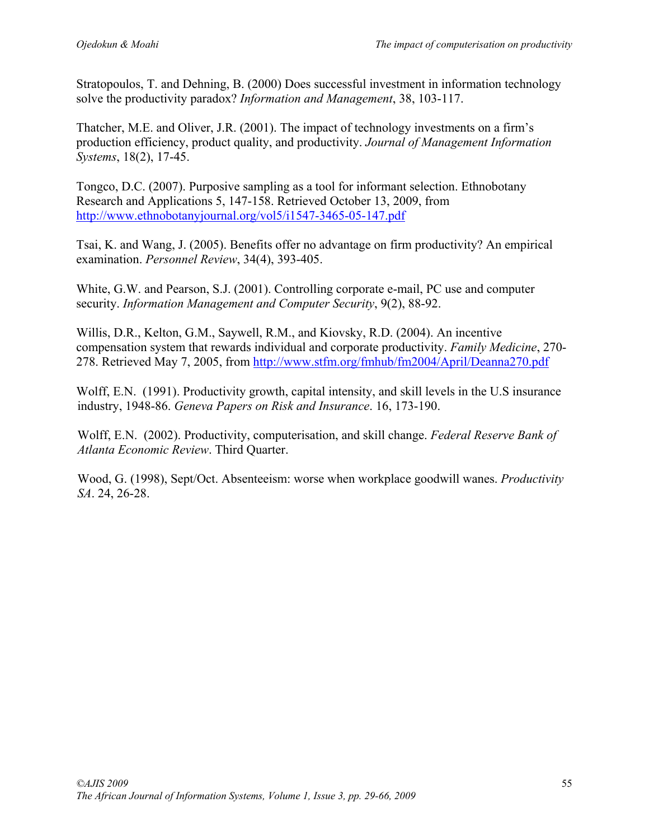Stratopoulos, T. and Dehning, B. (2000) Does successful investment in information technology solve the productivity paradox? *Information and Management*, 38, 103-117.

Thatcher, M.E. and Oliver, J.R. (2001). The impact of technology investments on a firm's production efficiency, product quality, and productivity. *Journal of Management Information Systems*, 18(2), 17-45.

Tongco, D.C. (2007). Purposive sampling as a tool for informant selection. Ethnobotany Research and Applications 5, 147-158. Retrieved October 13, 2009, from http://www.ethnobotanyjournal.org/vol5/i1547-3465-05-147.pdf

Tsai, K. and Wang, J. (2005). Benefits offer no advantage on firm productivity? An empirical examination. *Personnel Review*, 34(4), 393-405.

White, G.W. and Pearson, S.J. (2001). Controlling corporate e-mail, PC use and computer security. *Information Management and Computer Security*, 9(2), 88-92.

Willis, D.R., Kelton, G.M., Saywell, R.M., and Kiovsky, R.D. (2004). An incentive compensation system that rewards individual and corporate productivity. *Family Medicine*, 270- 278. Retrieved May 7, 2005, from http://www.stfm.org/fmhub/fm2004/April/Deanna270.pdf

Wolff, E.N. (1991). Productivity growth, capital intensity, and skill levels in the U.S insurance industry, 1948-86. *Geneva Papers on Risk and Insurance*. 16, 173-190.

Wolff, E.N. (2002). Productivity, computerisation, and skill change. *Federal Reserve Bank of Atlanta Economic Review*. Third Quarter.

Wood, G. (1998), Sept/Oct. Absenteeism: worse when workplace goodwill wanes. *Productivity SA*. 24, 26-28.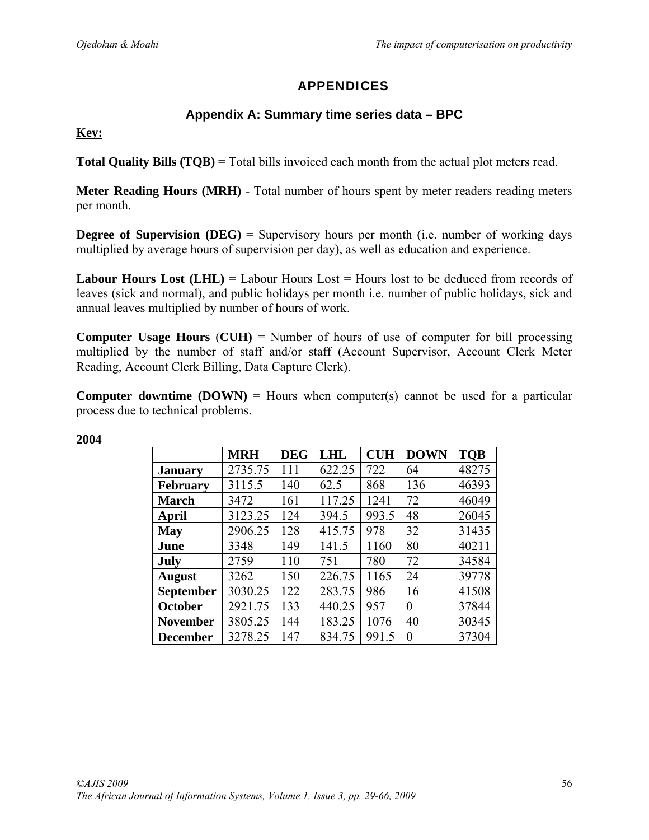# APPENDICES

### **Appendix A: Summary time series data – BPC**

**Key:**

**Total Quality Bills (TQB)** = Total bills invoiced each month from the actual plot meters read.

**Meter Reading Hours (MRH)** - Total number of hours spent by meter readers reading meters per month.

**Degree of Supervision (DEG)** = Supervisory hours per month (i.e. number of working days multiplied by average hours of supervision per day), as well as education and experience.

**Labour Hours Lost (LHL)** = Labour Hours Lost = Hours lost to be deduced from records of leaves (sick and normal), and public holidays per month i.e. number of public holidays, sick and annual leaves multiplied by number of hours of work.

**Computer Usage Hours** (**CUH)** = Number of hours of use of computer for bill processing multiplied by the number of staff and/or staff (Account Supervisor, Account Clerk Meter Reading, Account Clerk Billing, Data Capture Clerk).

**Computer downtime**  $(DOWN) =$  **Hours when computer(s) cannot be used for a particular** process due to technical problems.

|                  | <b>MRH</b> | <b>DEG</b> | LHL    | <b>CUH</b> | <b>DOWN</b> | <b>TQB</b> |
|------------------|------------|------------|--------|------------|-------------|------------|
| <b>January</b>   | 2735.75    | 111        | 622.25 | 722        | 64          | 48275      |
| <b>February</b>  | 3115.5     | 140        | 62.5   | 868        | 136         | 46393      |
| <b>March</b>     | 3472       | 161        | 117.25 | 1241       | 72          | 46049      |
| April            | 3123.25    | 124        | 394.5  | 993.5      | 48          | 26045      |
| <b>May</b>       | 2906.25    | 128        | 415.75 | 978        | 32          | 31435      |
| June             | 3348       | 149        | 141.5  | 1160       | 80          | 40211      |
| July             | 2759       | 110        | 751    | 780        | 72          | 34584      |
| <b>August</b>    | 3262       | 150        | 226.75 | 1165       | 24          | 39778      |
| <b>September</b> | 3030.25    | 122        | 283.75 | 986        | 16          | 41508      |
| <b>October</b>   | 2921.75    | 133        | 440.25 | 957        | $\theta$    | 37844      |
| <b>November</b>  | 3805.25    | 144        | 183.25 | 1076       | 40          | 30345      |
| <b>December</b>  | 3278.25    | 147        | 834.75 | 991.5      | $\Omega$    | 37304      |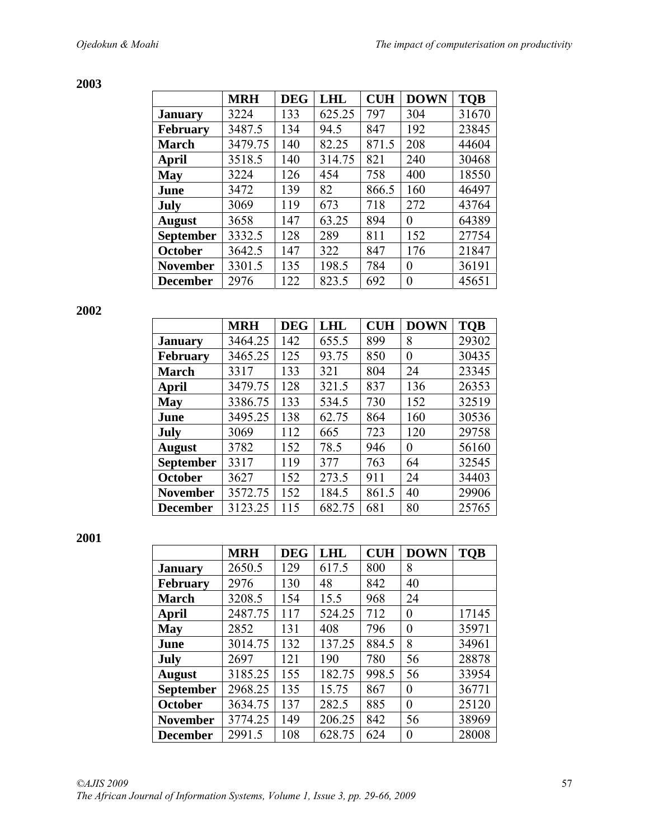### **2003**

|                  | <b>MRH</b> | <b>DEG</b> | <b>LHL</b> | <b>CUH</b> | <b>DOWN</b> | <b>TQB</b> |
|------------------|------------|------------|------------|------------|-------------|------------|
| <b>January</b>   | 3224       | 133        | 625.25     | 797        | 304         | 31670      |
| <b>February</b>  | 3487.5     | 134        | 94.5       | 847        | 192         | 23845      |
| <b>March</b>     | 3479.75    | 140        | 82.25      | 871.5      | 208         | 44604      |
| April            | 3518.5     | 140        | 314.75     | 821        | 240         | 30468      |
| May              | 3224       | 126        | 454        | 758        | 400         | 18550      |
| June             | 3472       | 139        | 82         | 866.5      | 160         | 46497      |
| July             | 3069       | 119        | 673        | 718        | 272         | 43764      |
| <b>August</b>    | 3658       | 147        | 63.25      | 894        | $\theta$    | 64389      |
| <b>September</b> | 3332.5     | 128        | 289        | 811        | 152         | 27754      |
| October          | 3642.5     | 147        | 322        | 847        | 176         | 21847      |
| <b>November</b>  | 3301.5     | 135        | 198.5      | 784        | $\theta$    | 36191      |
| <b>December</b>  | 2976       | 122        | 823.5      | 692        | $\theta$    | 45651      |

**2002** 

|                  | <b>MRH</b> | <b>DEG</b> | LHL    | <b>CUH</b> | <b>DOWN</b> | <b>TQB</b> |
|------------------|------------|------------|--------|------------|-------------|------------|
| <b>January</b>   | 3464.25    | 142        | 655.5  | 899        | 8           | 29302      |
| <b>February</b>  | 3465.25    | 125        | 93.75  | 850        | $\theta$    | 30435      |
| <b>March</b>     | 3317       | 133        | 321    | 804        | 24          | 23345      |
| April            | 3479.75    | 128        | 321.5  | 837        | 136         | 26353      |
| <b>May</b>       | 3386.75    | 133        | 534.5  | 730        | 152         | 32519      |
| June             | 3495.25    | 138        | 62.75  | 864        | 160         | 30536      |
| July             | 3069       | 112        | 665    | 723        | 120         | 29758      |
| <b>August</b>    | 3782       | 152        | 78.5   | 946        | $\theta$    | 56160      |
| <b>September</b> | 3317       | 119        | 377    | 763        | 64          | 32545      |
| October          | 3627       | 152        | 273.5  | 911        | 24          | 34403      |
| <b>November</b>  | 3572.75    | 152        | 184.5  | 861.5      | 40          | 29906      |
| <b>December</b>  | 3123.25    | 115        | 682.75 | 681        | 80          | 25765      |

|                  | <b>MRH</b> | <b>DEG</b> | LHL    | <b>CUH</b> | <b>DOWN</b>    | <b>TQB</b> |
|------------------|------------|------------|--------|------------|----------------|------------|
| <b>January</b>   | 2650.5     | 129        | 617.5  | 800        | 8              |            |
| <b>February</b>  | 2976       | 130        | 48     | 842        | 40             |            |
| <b>March</b>     | 3208.5     | 154        | 15.5   | 968        | 24             |            |
| April            | 2487.75    | 117        | 524.25 | 712        | $\overline{0}$ | 17145      |
| <b>May</b>       | 2852       | 131        | 408    | 796        | $\theta$       | 35971      |
| June             | 3014.75    | 132        | 137.25 | 884.5      | 8              | 34961      |
| July             | 2697       | 121        | 190    | 780        | 56             | 28878      |
| <b>August</b>    | 3185.25    | 155        | 182.75 | 998.5      | 56             | 33954      |
| <b>September</b> | 2968.25    | 135        | 15.75  | 867        | $\theta$       | 36771      |
| October          | 3634.75    | 137        | 282.5  | 885        | $\theta$       | 25120      |
| <b>November</b>  | 3774.25    | 149        | 206.25 | 842        | 56             | 38969      |
| <b>December</b>  | 2991.5     | 108        | 628.75 | 624        | $\theta$       | 28008      |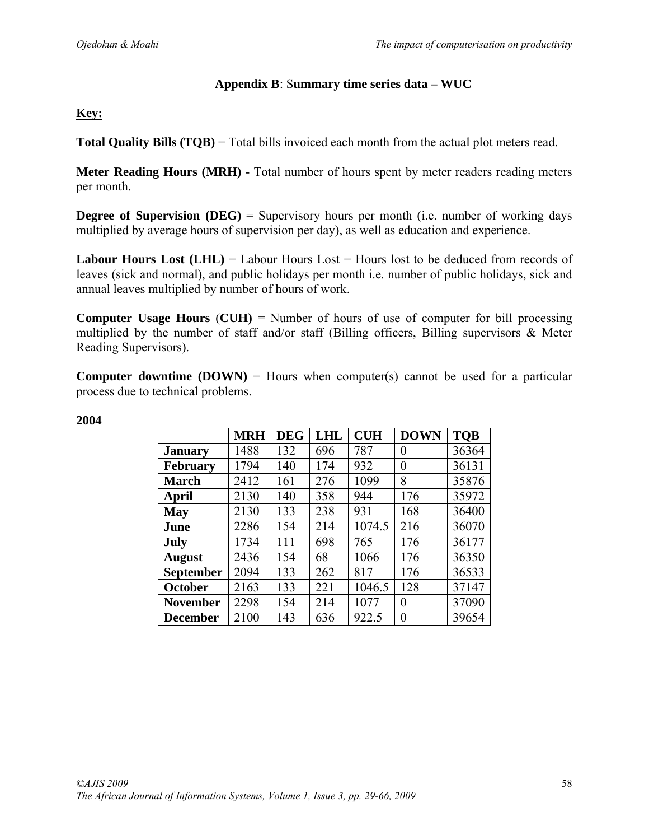### **Appendix B**: S**ummary time series data – WUC**

### **Key:**

**Total Quality Bills (TQB)** = Total bills invoiced each month from the actual plot meters read.

**Meter Reading Hours (MRH)** - Total number of hours spent by meter readers reading meters per month.

**Degree of Supervision (DEG)** = Supervisory hours per month (i.e. number of working days multiplied by average hours of supervision per day), as well as education and experience.

**Labour Hours Lost (LHL)** = Labour Hours Lost = Hours lost to be deduced from records of leaves (sick and normal), and public holidays per month i.e. number of public holidays, sick and annual leaves multiplied by number of hours of work.

**Computer Usage Hours** (**CUH)** = Number of hours of use of computer for bill processing multiplied by the number of staff and/or staff (Billing officers, Billing supervisors  $\&$  Meter Reading Supervisors).

**Computer downtime**  $(DOWN)$  = Hours when computer(s) cannot be used for a particular process due to technical problems.

|                 | <b>MRH</b> | <b>DEG</b> | <b>LHL</b> | <b>CUH</b> | <b>DOWN</b> | <b>TQB</b> |
|-----------------|------------|------------|------------|------------|-------------|------------|
| <b>January</b>  | 1488       | 132        | 696        | 787        | $\theta$    | 36364      |
| <b>February</b> | 1794       | 140        | 174        | 932        | 0           | 36131      |
| <b>March</b>    | 2412       | 161        | 276        | 1099       | 8           | 35876      |
| <b>April</b>    | 2130       | 140        | 358        | 944        | 176         | 35972      |
| <b>May</b>      | 2130       | 133        | 238        | 931        | 168         | 36400      |
| June            | 2286       | 154        | 214        | 1074.5     | 216         | 36070      |
| July            | 1734       | 111        | 698        | 765        | 176         | 36177      |
| <b>August</b>   | 2436       | 154        | 68         | 1066       | 176         | 36350      |
| September       | 2094       | 133        | 262        | 817        | 176         | 36533      |
| <b>October</b>  | 2163       | 133        | 221        | 1046.5     | 128         | 37147      |
| <b>November</b> | 2298       | 154        | 214        | 1077       | $\Omega$    | 37090      |
| <b>December</b> | 2100       | 143        | 636        | 922.5      | $\theta$    | 39654      |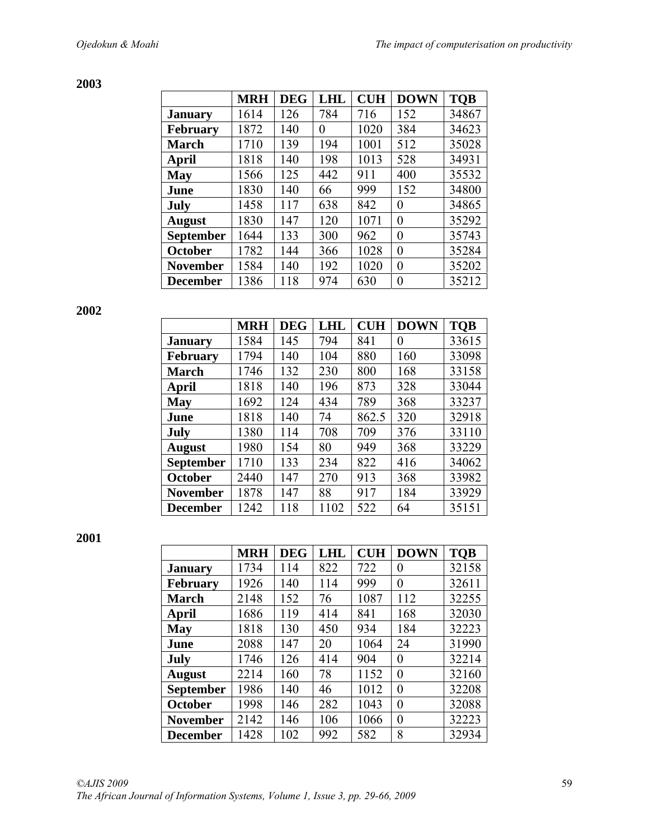**2003** 

|                  | <b>MRH</b> | <b>DEG</b> | <b>LHL</b> | <b>CUH</b> | <b>DOWN</b> | <b>TQB</b> |
|------------------|------------|------------|------------|------------|-------------|------------|
| <b>January</b>   | 1614       | 126        | 784        | 716        | 152         | 34867      |
| <b>February</b>  | 1872       | 140        | 0          | 1020       | 384         | 34623      |
| <b>March</b>     | 1710       | 139        | 194        | 1001       | 512         | 35028      |
| <b>April</b>     | 1818       | 140        | 198        | 1013       | 528         | 34931      |
| May              | 1566       | 125        | 442        | 911        | 400         | 35532      |
| June             | 1830       | 140        | 66         | 999        | 152         | 34800      |
| July             | 1458       | 117        | 638        | 842        | 0           | 34865      |
| <b>August</b>    | 1830       | 147        | 120        | 1071       | $\theta$    | 35292      |
| <b>September</b> | 1644       | 133        | 300        | 962        | 0           | 35743      |
| <b>October</b>   | 1782       | 144        | 366        | 1028       | 0           | 35284      |
| <b>November</b>  | 1584       | 140        | 192        | 1020       | $\theta$    | 35202      |
| <b>December</b>  | 1386       | 118        | 974        | 630        | 0           | 35212      |

**2002** 

|                 | <b>MRH</b> | <b>DEG</b> | LHL  | <b>CUH</b> | <b>DOWN</b> | <b>TQB</b> |
|-----------------|------------|------------|------|------------|-------------|------------|
| <b>January</b>  | 1584       | 145        | 794  | 841        | $\theta$    | 33615      |
| February        | 1794       | 140        | 104  | 880        | 160         | 33098      |
| <b>March</b>    | 1746       | 132        | 230  | 800        | 168         | 33158      |
| April           | 1818       | 140        | 196  | 873        | 328         | 33044      |
| <b>May</b>      | 1692       | 124        | 434  | 789        | 368         | 33237      |
| June            | 1818       | 140        | 74   | 862.5      | 320         | 32918      |
| July            | 1380       | 114        | 708  | 709        | 376         | 33110      |
| <b>August</b>   | 1980       | 154        | 80   | 949        | 368         | 33229      |
| September       | 1710       | 133        | 234  | 822        | 416         | 34062      |
| October         | 2440       | 147        | 270  | 913        | 368         | 33982      |
| <b>November</b> | 1878       | 147        | 88   | 917        | 184         | 33929      |
| <b>December</b> | 1242       | 118        | 1102 | 522        | 64          | 35151      |

|                  | <b>MRH</b> | <b>DEG</b> | <b>LHL</b> | <b>CUH</b> | <b>DOWN</b>    | <b>TQB</b> |
|------------------|------------|------------|------------|------------|----------------|------------|
| <b>January</b>   | 1734       | 114        | 822        | 722        | $\theta$       | 32158      |
| <b>February</b>  | 1926       | 140        | 114        | 999        | 0              | 32611      |
| <b>March</b>     | 2148       | 152        | 76         | 1087       | 112            | 32255      |
| April            | 1686       | 119        | 414        | 841        | 168            | 32030      |
| <b>May</b>       | 1818       | 130        | 450        | 934        | 184            | 32223      |
| June             | 2088       | 147        | 20         | 1064       | 24             | 31990      |
| July             | 1746       | 126        | 414        | 904        | $\theta$       | 32214      |
| <b>August</b>    | 2214       | 160        | 78         | 1152       | $\theta$       | 32160      |
| <b>September</b> | 1986       | 140        | 46         | 1012       | $\theta$       | 32208      |
| October          | 1998       | 146        | 282        | 1043       | $\overline{0}$ | 32088      |
| <b>November</b>  | 2142       | 146        | 106        | 1066       | 0              | 32223      |
| <b>December</b>  | 1428       | 102        | 992        | 582        | 8              | 32934      |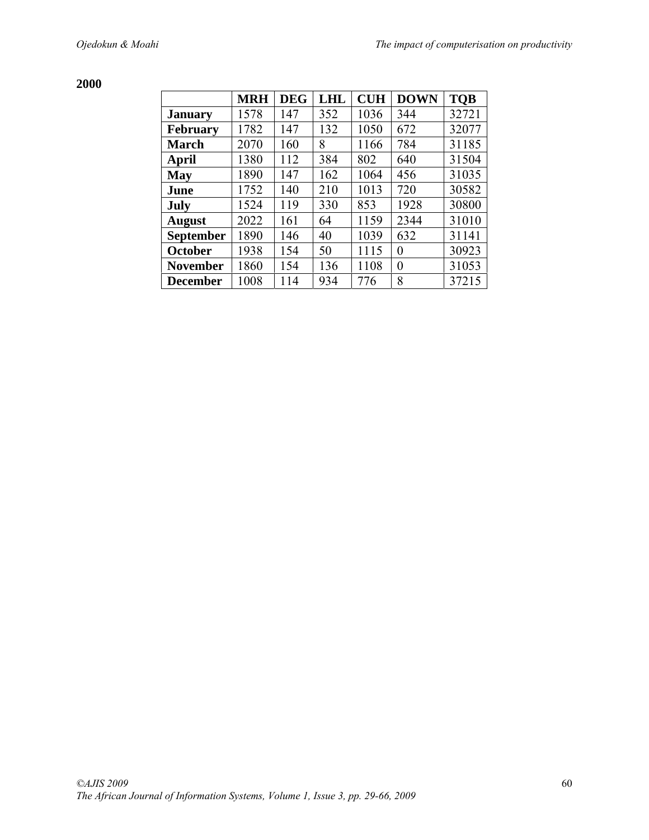|                  | <b>MRH</b> | <b>DEG</b> | <b>LHL</b> | <b>CUH</b> | <b>DOWN</b> | <b>TQB</b> |
|------------------|------------|------------|------------|------------|-------------|------------|
| <b>January</b>   | 1578       | 147        | 352        | 1036       | 344         | 32721      |
| <b>February</b>  | 1782       | 147        | 132        | 1050       | 672         | 32077      |
| <b>March</b>     | 2070       | 160        | 8          | 1166       | 784         | 31185      |
| April            | 1380       | 112        | 384        | 802        | 640         | 31504      |
| <b>May</b>       | 1890       | 147        | 162        | 1064       | 456         | 31035      |
| June             | 1752       | 140        | 210        | 1013       | 720         | 30582      |
| July             | 1524       | 119        | 330        | 853        | 1928        | 30800      |
| <b>August</b>    | 2022       | 161        | 64         | 1159       | 2344        | 31010      |
| <b>September</b> | 1890       | 146        | 40         | 1039       | 632         | 31141      |
| <b>October</b>   | 1938       | 154        | 50         | 1115       | $\theta$    | 30923      |
| <b>November</b>  | 1860       | 154        | 136        | 1108       | $\theta$    | 31053      |
| <b>December</b>  | 1008       | 114        | 934        | 776        | 8           | 37215      |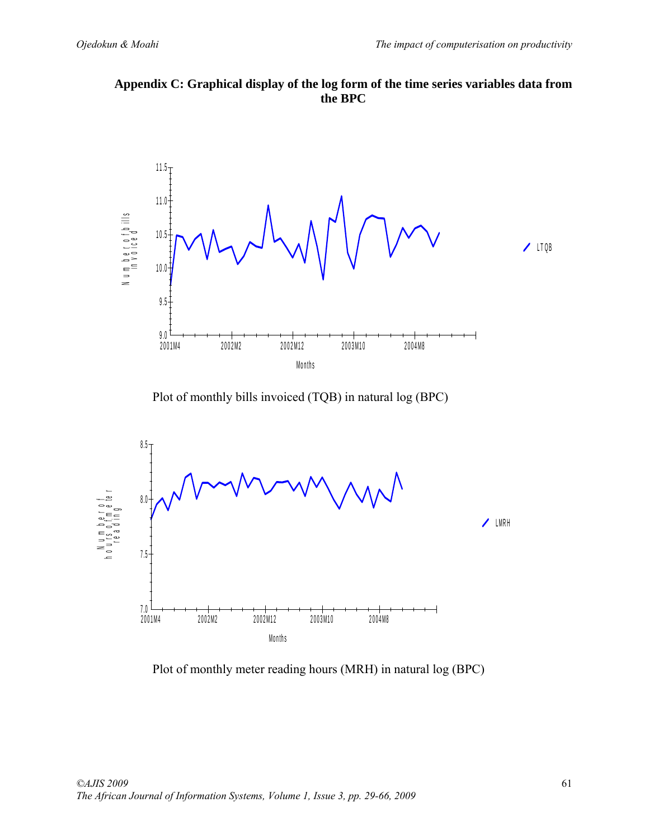**Appendix C: Graphical display of the log form of the time series variables data from the BPC** 



Plot of monthly bills invoiced (TQB) in natural log (BPC)



Plot of monthly meter reading hours (MRH) in natural log (BPC)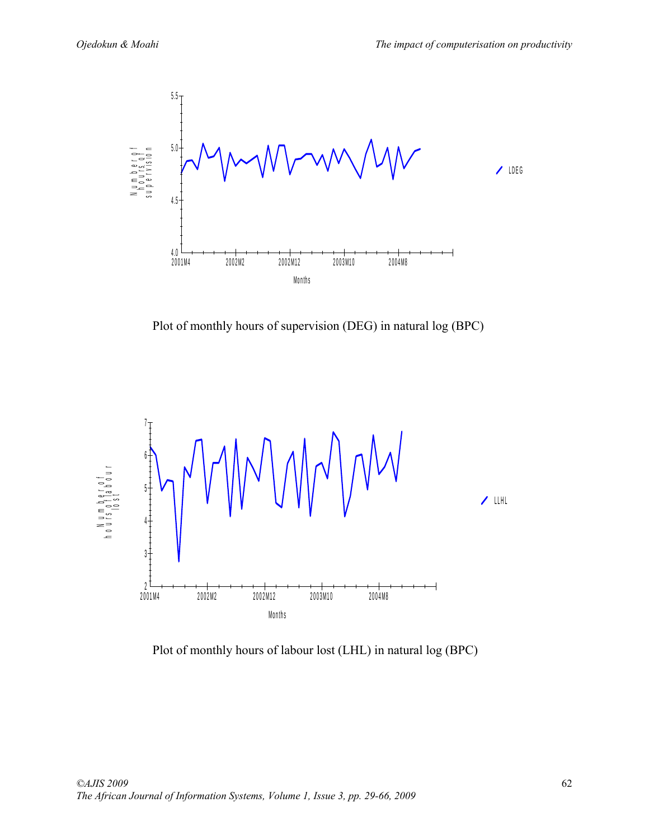

Plot of monthly hours of supervision (DEG) in natural log (BPC)



Plot of monthly hours of labour lost (LHL) in natural log (BPC)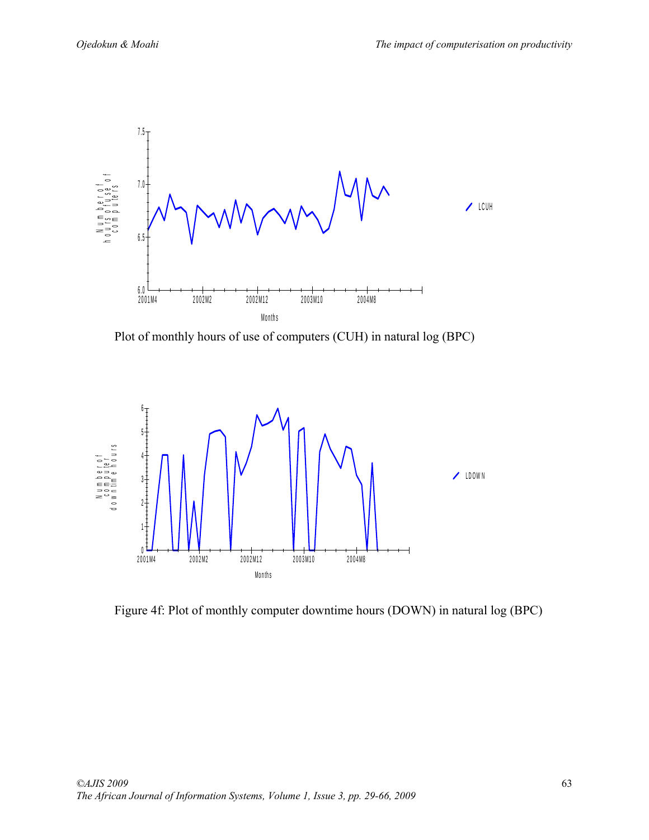

Plot of monthly hours of use of computers (CUH) in natural log (BPC)



Figure 4f: Plot of monthly computer downtime hours (DOWN) in natural log (BPC)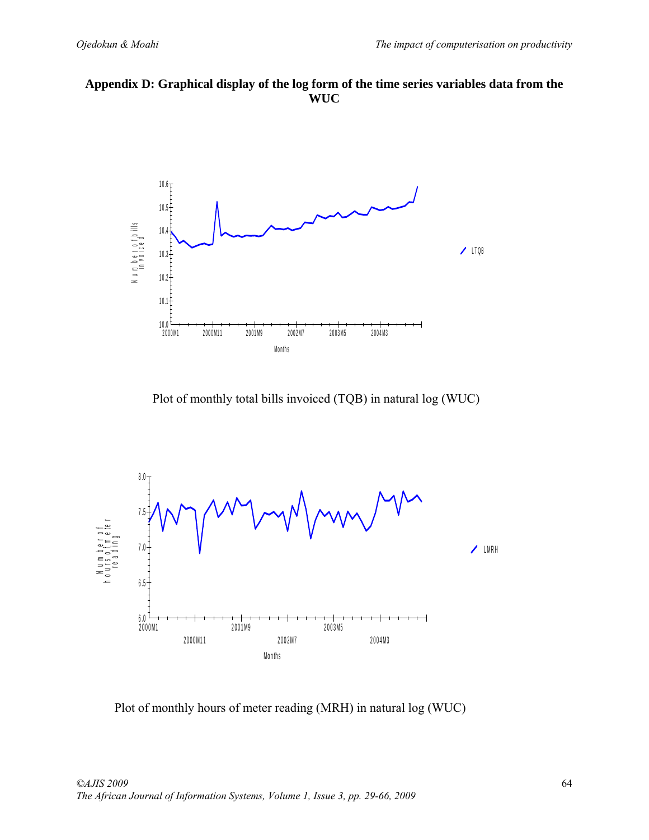



Plot of monthly total bills invoiced (TQB) in natural log (WUC)



Plot of monthly hours of meter reading (MRH) in natural log (WUC)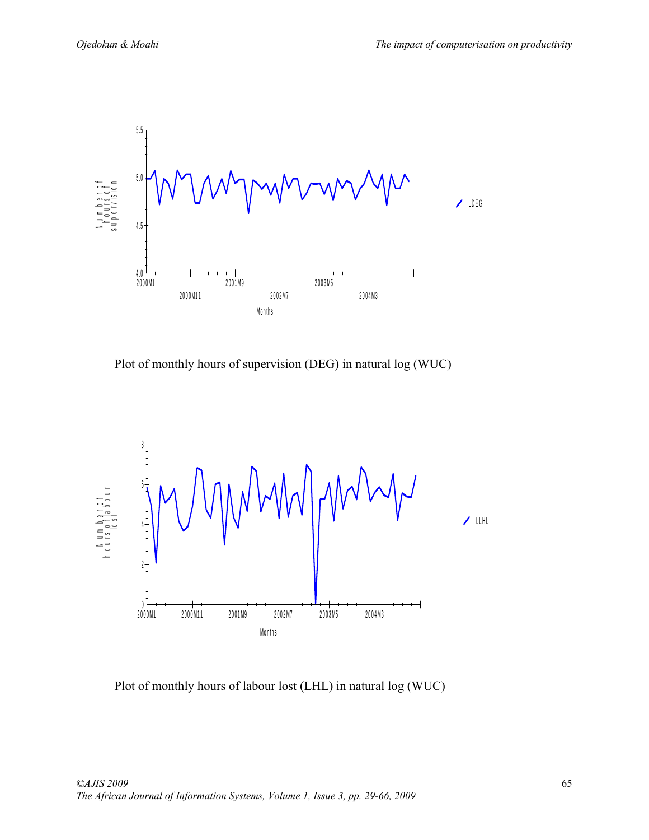

Plot of monthly hours of supervision (DEG) in natural log (WUC)



Plot of monthly hours of labour lost (LHL) in natural log (WUC)